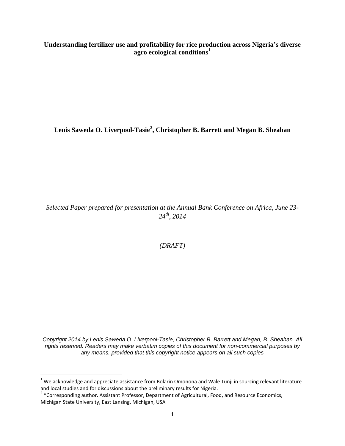**Understanding fertilizer use and profitability for rice production across Nigeria's diverse agro ecological conditions[1](#page-0-0)**

**Lenis Saweda O. Liverpool-Tasie[2](#page-0-1) , Christopher B. Barrett and Megan B. Sheahan**

*Selected Paper prepared for presentation at the Annual Bank Conference on Africa, June 23- 24th, 2014*

*(DRAFT)*

*Copyright 2014 by Lenis Saweda O. Liverpool-Tasie, Christopher B. Barrett and Megan, B. Sheahan. All rights reserved. Readers may make verbatim copies of this document for non-commercial purposes by any means, provided that this copyright notice appears on all such copies*

<span id="page-0-0"></span> $1$  We acknowledge and appreciate assistance from Bolarin Omonona and Wale Tunji in sourcing relevant literature and local studies and for discussions about the preliminary results for Nigeria.

<span id="page-0-1"></span><sup>&</sup>lt;sup>2</sup> \*Corresponding author. Assistant Professor, Department of Agricultural, Food, and Resource Economics, Michigan State University, East Lansing, Michigan, USA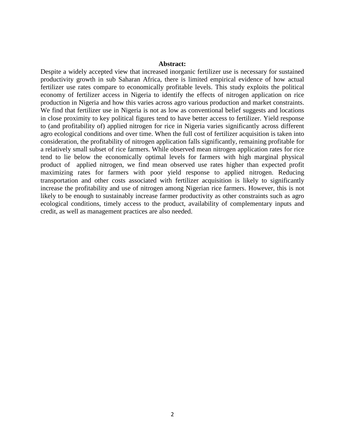### **Abstract:**

Despite a widely accepted view that increased inorganic fertilizer use is necessary for sustained productivity growth in sub Saharan Africa, there is limited empirical evidence of how actual fertilizer use rates compare to economically profitable levels. This study exploits the political economy of fertilizer access in Nigeria to identify the effects of nitrogen application on rice production in Nigeria and how this varies across agro various production and market constraints. We find that fertilizer use in Nigeria is not as low as conventional belief suggests and locations in close proximity to key political figures tend to have better access to fertilizer. Yield response to (and profitability of) applied nitrogen for rice in Nigeria varies significantly across different agro ecological conditions and over time. When the full cost of fertilizer acquisition is taken into consideration, the profitability of nitrogen application falls significantly, remaining profitable for a relatively small subset of rice farmers. While observed mean nitrogen application rates for rice tend to lie below the economically optimal levels for farmers with high marginal physical product of applied nitrogen, we find mean observed use rates higher than expected profit maximizing rates for farmers with poor yield response to applied nitrogen. Reducing transportation and other costs associated with fertilizer acquisition is likely to significantly increase the profitability and use of nitrogen among Nigerian rice farmers. However, this is not likely to be enough to sustainably increase farmer productivity as other constraints such as agro ecological conditions, timely access to the product, availability of complementary inputs and credit, as well as management practices are also needed.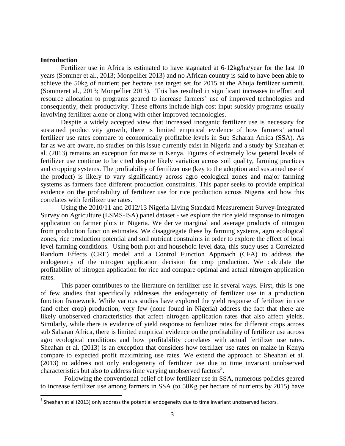## **Introduction**

Fertilizer use in Africa is estimated to have stagnated at 6-12kg/ha/year for the last 10 years (Sommer et al., 2013; Monpellier 2013) and no African country is said to have been able to achieve the 50kg of nutrient per hectare use target set for 2015 at the Abuja fertilizer summit. (Sommeret al., 2013; Monpellier 2013). This has resulted in significant increases in effort and resource allocation to programs geared to increase farmers' use of improved technologies and consequently, their productivity. These efforts include high cost input subsidy programs usually involving fertilizer alone or along with other improved technologies.

Despite a widely accepted view that increased inorganic fertilizer use is necessary for sustained productivity growth, there is limited empirical evidence of how farmers' actual fertilizer use rates compare to economically profitable levels in Sub Saharan Africa (SSA). As far as we are aware, no studies on this issue currently exist in Nigeria and a study by Sheahan et al. (2013) remains an exception for maize in Kenya. Figures of extremely low general levels of fertilizer use continue to be cited despite likely variation across soil quality, farming practices and cropping systems. The profitability of fertilizer use (key to the adoption and sustained use of the product) is likely to vary significantly across agro ecological zones and major farming systems as farmers face different production constraints. This paper seeks to provide empirical evidence on the profitability of fertilizer use for rice production across Nigeria and how this correlates with fertilizer use rates.

Using the 2010/11 and 2012/13 Nigeria Living Standard Measurement Survey-Integrated Survey on Agriculture (LSMS-ISA) panel dataset - we explore the rice yield response to nitrogen application on farmer plots in Nigeria. We derive marginal and average products of nitrogen from production function estimates. We disaggregate these by farming systems, agro ecological zones, rice production potential and soil nutrient constraints in order to explore the effect of local level farming conditions. Using both plot and household level data, this study uses a Correlated Random Effects (CRE) model and a Control Function Approach (CFA) to address the endogeneity of the nitrogen application decision for crop production. We calculate the profitability of nitrogen application for rice and compare optimal and actual nitrogen application rates.

This paper contributes to the literature on fertilizer use in several ways. First, this is one of few studies that specifically addresses the endogeneity of fertilizer use in a production function framework. While various studies have explored the yield response of fertilizer in rice (and other crop) production, very few (none found in Nigeria) address the fact that there are likely unobserved characteristics that affect nitrogen application rates that also affect yields. Similarly, while there is evidence of yield response to fertilizer rates for different crops across sub Saharan Africa, there is limited empirical evidence on the profitability of fertilizer use across agro ecological conditions and how profitability correlates with actual fertilizer use rates. Sheahan et al. (2013) is an exception that considers how fertilizer use rates on maize in Kenya compare to expected profit maximizing use rates. We extend the approach of Sheahan et al. (2013) to address not only endogeneity of fertilizer use due to time invariant unobserved characteristics but also to address time varying unobserved factors<sup>[3](#page-2-0)</sup>.

Following the conventional belief of low fertilizer use in SSA, numerous policies geared to increase fertilizer use among farmers in SSA (to 50Kg per hectare of nutrients by 2015) have

<span id="page-2-0"></span><sup>&</sup>lt;sup>3</sup> Sheahan et al (2013) only address the potential endogeneity due to time invariant unobserved factors.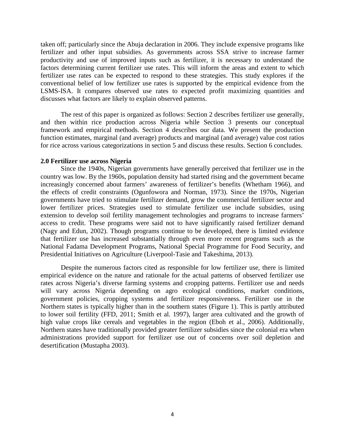taken off; particularly since the Abuja declaration in 2006. They include expensive programs like fertilizer and other input subsidies. As governments across SSA strive to increase farmer productivity and use of improved inputs such as fertilizer, it is necessary to understand the factors determining current fertilizer use rates. This will inform the areas and extent to which fertilizer use rates can be expected to respond to these strategies. This study explores if the conventional belief of low fertilizer use rates is supported by the empirical evidence from the LSMS-ISA. It compares observed use rates to expected profit maximizing quantities and discusses what factors are likely to explain observed patterns.

The rest of this paper is organized as follows: Section 2 describes fertilizer use generally, and then within rice production across Nigeria while Section 3 presents our conceptual framework and empirical methods. Section 4 describes our data. We present the production function estimates, marginal (and average) products and marginal (and average) value cost ratios for rice across various categorizations in section 5 and discuss these results. Section 6 concludes.

# **2.0 Fertilizer use across Nigeria**

Since the 1940s, Nigerian governments have generally perceived that fertilizer use in the country was low. By the 1960s, population density had started rising and the government became increasingly concerned about farmers' awareness of fertilizer's benefits (Whetham 1966), and the effects of credit constraints (Ogunfowora and Norman, 1973). Since the 1970s, Nigerian governments have tried to stimulate fertilizer demand, grow the commercial fertilizer sector and lower fertilizer prices. Strategies used to stimulate fertilizer use include subsidies, using extension to develop soil fertility management technologies and programs to increase farmers' access to credit. These programs were said not to have significantly raised fertilizer demand (Nagy and Edun, 2002). Though programs continue to be developed, there is limited evidence that fertilizer use has increased substantially through even more recent programs such as the National Fadama Development Programs, National Special Programme for Food Security, and Presidential Initiatives on Agriculture (Liverpool-Tasie and Takeshima, 2013).

Despite the numerous factors cited as responsible for low fertilizer use, there is limited empirical evidence on the nature and rationale for the actual patterns of observed fertilizer use rates across Nigeria's diverse farming systems and cropping patterns. Fertilizer use and needs will vary across Nigeria depending on agro ecological conditions, market conditions, government policies, cropping systems and fertilizer responsiveness. Fertilizer use in the Northern states is typically higher than in the southern states (Figure 1). This is partly attributed to lower soil fertility (FFD, 2011; Smith et al. 1997), larger area cultivated and the growth of high value crops like cereals and vegetables in the region (Eboh et al., 2006). Additionally, Northern states have traditionally provided greater fertilizer subsidies since the colonial era when administrations provided support for fertilizer use out of concerns over soil depletion and desertification (Mustapha 2003).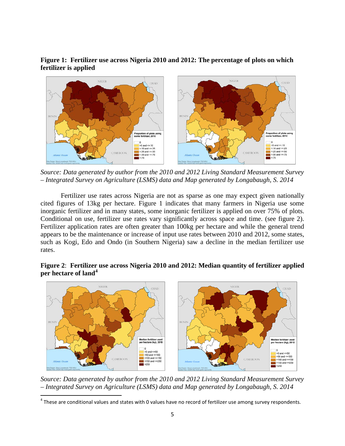**Figure 1: Fertilizer use across Nigeria 2010 and 2012: The percentage of plots on which fertilizer is applied**



*Source: Data generated by author from the 2010 and 2012 Living Standard Measurement Survey – Integrated Survey on Agriculture (LSMS) data and Map generated by Longabaugh, S. 2014*

Fertilizer use rates across Nigeria are not as sparse as one may expect given nationally cited figures of 13kg per hectare. Figure 1 indicates that many farmers in Nigeria use some inorganic fertilizer and in many states, some inorganic fertilizer is applied on over 75% of plots. Conditional on use, fertilizer use rates vary significantly across space and time. (see figure 2). Fertilizer application rates are often greater than 100kg per hectare and while the general trend appears to be the maintenance or increase of input use rates between 2010 and 2012, some states, such as Kogi, Edo and Ondo (in Southern Nigeria) saw a decline in the median fertilizer use rates.

**Figure 2**: **Fertilizer use across Nigeria 2010 and 2012: Median quantity of fertilizer applied per hectare of land[4](#page-4-0)**



*Source: Data generated by author from the 2010 and 2012 Living Standard Measurement Survey – Integrated Survey on Agriculture (LSMS) data and Map generated by Longabaugh, S. 2014*

<span id="page-4-0"></span> $<sup>4</sup>$  These are conditional values and states with 0 values have no record of fertilizer use among survey respondents.</sup>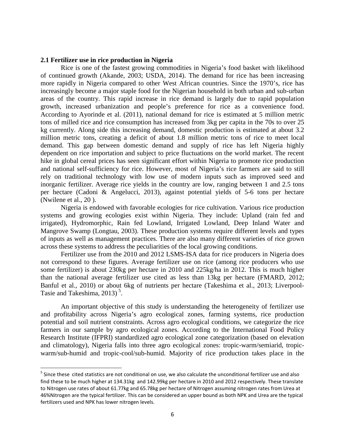## **2.1 Fertilizer use in rice production in Nigeria**

Rice is one of the fastest growing commodities in Nigeria's food basket with likelihood of continued growth (Akande, 2003; USDA, 2014). The demand for rice has been increasing more rapidly in Nigeria compared to other West African countries. Since the 1970's, rice has increasingly become a major staple food for the Nigerian household in both urban and sub-urban areas of the country. This rapid increase in rice demand is largely due to rapid population growth, increased urbanization and people's preference for rice as a convenience food. According to Ayorinde et al. (2011), national demand for rice is estimated at 5 million metric tons of milled rice and rice consumption has increased from 3kg per capita in the 70s to over 25 kg currently. Along side this increasing demand, domestic production is estimated at about 3.2 million metric tons, creating a deficit of about 1.8 million metric tons of rice to meet local demand. This gap between domestic demand and supply of rice has left Nigeria highly dependent on rice importation and subject to price fluctuations on the world market. The recent hike in global cereal prices has seen significant effort within Nigeria to promote rice production and national self-sufficiency for rice. However, most of Nigeria's rice farmers are said to still rely on traditional technology with low use of modern inputs such as improved seed and inorganic fertilizer. Average rice yields in the country are low, ranging between 1 and 2.5 tons per hectare (Cadoni & Angelucci, 2013), against potential yields of 5-6 tons per hectare (Nwilene et al., 20 ).

Nigeria is endowed with favorable ecologies for rice cultivation. Various rice production systems and growing ecologies exist within Nigeria. They include: Upland (rain fed and irrigated), Hydromorphic, Rain fed Lowland, Irrigated Lowland, Deep Inland Water and Mangrove Swamp (Longtau, 2003). These production systems require different levels and types of inputs as well as management practices. There are also many different varieties of rice grown across these systems to address the peculiarities of the local growing conditions.

Fertilizer use from the 2010 and 2012 LSMS-ISA data for rice producers in Nigeria does not correspond to these figures. Average fertilizer use on rice (among rice producers who use some fertilizer) is about 230kg per hectare in 2010 and 225kg/ha in 2012. This is much higher than the national average fertilizer use cited as less than 13kg per hectare (FMARD, 2012; Banful et al., 2010) or about 6kg of nutrients per hectare (Takeshima et al., 2013; Liverpool-Tasie and Takeshima,  $2013$ )<sup>[5](#page-5-0)</sup>.

An important objective of this study is understanding the heterogeneity of fertilizer use and profitability across Nigeria's agro ecological zones, farming systems, rice production potential and soil nutrient constraints. Across agro ecological conditions, we categorize the rice farmers in our sample by agro ecological zones. According to the International Food Policy Research Institute (IFPRI) standardized agro ecological zone categorization (based on elevation and climatology), Nigeria falls into three agro ecological zones: tropic-warm/semiarid, tropicwarm/sub-humid and tropic-cool/sub-humid. Majority of rice production takes place in the

<span id="page-5-0"></span><sup>&</sup>lt;sup>5</sup> Since these cited statistics are not conditional on use, we also calculate the unconditional fertilizer use and also find these to be much higher at 134.31kg and 142.99kg per hectare in 2010 and 2012 respectively. These translate to Nitrogen use rates of about 61.77kg and 65.78kg per hectare of Nitrogen assuming nitrogen rates from Urea at 46%Nitrogen are the typical fertilizer. This can be considered an upper bound as both NPK and Urea are the typical fertilizers used and NPK has lower nitrogen levels.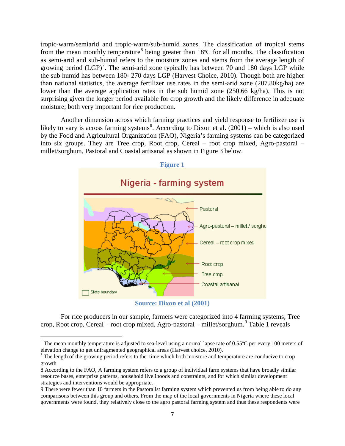tropic-warm/semiarid and tropic-warm/sub-humid zones. The classification of tropical stems from the mean monthly temperature<sup>[6](#page-6-0)</sup> being greater than 18 $^{\circ}$ C for all months. The classification as semi-arid and sub-humid refers to the moisture zones and stems from the average length of growing period  $(LGP)^7$  $(LGP)^7$ . The semi-arid zone typically has between 70 and 180 days LGP while the sub humid has between 180- 270 days LGP (Harvest Choice, 2010). Though both are higher than national statistics, the average fertilizer use rates in the semi-arid zone (207.80kg/ha) are lower than the average application rates in the sub humid zone (250.66 kg/ha). This is not surprising given the longer period available for crop growth and the likely difference in adequate moisture; both very important for rice production.

Another dimension across which farming practices and yield response to fertilizer use is likely to vary is across farming systems<sup>[8](#page-6-2)</sup>. According to Dixon et al.  $(2001)$  – which is also used by the Food and Agricultural Organization (FAO), Nigeria's farming systems can be categorized into six groups. They are Tree crop, Root crop, Cereal – root crop mixed, Agro-pastoral – millet/sorghum, Pastoral and Coastal artisanal as shown in Figure 3 below.



**Source: Dixon et al (2001)**

For rice producers in our sample, farmers were categorized into 4 farming systems; Tree crop, Root crop, Cereal – root crop mixed, Agro-pastoral – millet/sorghum. [9](#page-6-3) Table 1 reveals

<span id="page-6-0"></span> $6$  The mean monthly temperature is adjusted to sea-level using a normal lapse rate of 0.55 $^{\circ}$ C per every 100 meters of elevation change to get unfragmented geographical areas (Harvest choice, 2010).

<span id="page-6-1"></span> $<sup>7</sup>$  The length of the growing period refers to the time which both moisture and temperature are conducive to crop</sup> growth

<span id="page-6-2"></span><sup>8</sup> According to the FAO, A farming system refers to a group of individual farm systems that have broadly similar resource bases, enterprise patterns, household livelihoods and constraints, and for which similar development strategies and interventions would be appropriate.

<span id="page-6-3"></span><sup>9</sup> There were fewer than 10 farmers in the Pastoralist farming system which prevented us from being able to do any comparisons between this group and others. From the map of the local governments in Nigeria where these local governments were found, they relatively close to the agro pastoral farming system and thus these respondents were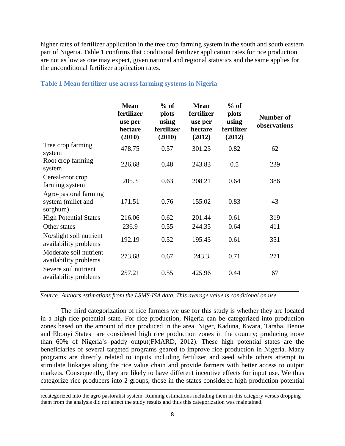higher rates of fertilizer application in the tree crop farming system in the south and south eastern part of Nigeria. Table 1 confirms that conditional fertilizer application rates for rice production are not as low as one may expect, given national and regional statistics and the same applies for the unconditional fertilizer application rates.

|                                                         | <b>Mean</b><br>fertilizer<br>use per<br>hectare<br>(2010) | $%$ of<br>plots<br>using<br>fertilizer<br>(2010) | <b>Mean</b><br>fertilizer<br>use per<br>hectare<br>(2012) | $%$ of<br>plots<br>using<br>fertilizer<br>(2012) | Number of<br>observations |
|---------------------------------------------------------|-----------------------------------------------------------|--------------------------------------------------|-----------------------------------------------------------|--------------------------------------------------|---------------------------|
| Tree crop farming<br>system                             | 478.75                                                    | 0.57                                             | 301.23                                                    | 0.82                                             | 62                        |
| Root crop farming<br>system                             | 226.68                                                    | 0.48                                             | 243.83                                                    | 0.5                                              | 239                       |
| Cereal-root crop<br>farming system                      | 205.3                                                     | 0.63                                             | 208.21                                                    | 0.64                                             | 386                       |
| Agro-pastoral farming<br>system (millet and<br>sorghum) | 171.51                                                    | 0.76                                             | 155.02                                                    | 0.83                                             | 43                        |
| <b>High Potential States</b>                            | 216.06                                                    | 0.62                                             | 201.44                                                    | 0.61                                             | 319                       |
| Other states                                            | 236.9                                                     | 0.55                                             | 244.35                                                    | 0.64                                             | 411                       |
| No/slight soil nutrient<br>availability problems        | 192.19                                                    | 0.52                                             | 195.43                                                    | 0.61                                             | 351                       |
| Moderate soil nutrient<br>availability problems         | 273.68                                                    | 0.67                                             | 243.3                                                     | 0.71                                             | 271                       |
| Severe soil nutrient<br>availability problems           | 257.21                                                    | 0.55                                             | 425.96                                                    | 0.44                                             | 67                        |

## **Table 1 Mean fertilizer use across farming systems in Nigeria**

*Source: Authors estimations from the LSMS-ISA data. This average value is conditional on use*

The third categorization of rice farmers we use for this study is whether they are located in a high rice potential state. For rice production, Nigeria can be categorized into production zones based on the amount of rice produced in the area. Niger, Kaduna, Kwara, Taraba, Benue and Ebonyi States are considered high rice production zones in the country; producing more than 60% of Nigeria's paddy output(FMARD, 2012). These high potential states are the beneficiaries of several targeted programs geared to improve rice production in Nigeria. Many programs are directly related to inputs including fertilizer and seed while others attempt to stimulate linkages along the rice value chain and provide farmers with better access to output markets. Consequently, they are likely to have different incentive effects for input use. We thus categorize rice producers into 2 groups, those in the states considered high production potential

l

recategorized into the agro pastoralist system. Running estimations including them in this category versus dropping them from the analysis did not affect the study results and thus this categorization was maintained.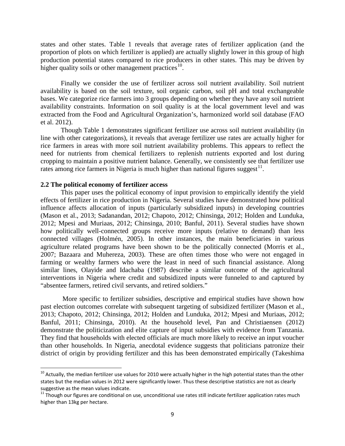states and other states. Table 1 reveals that average rates of fertilizer application (and the proportion of plots on which fertilizer is applied) are actually slightly lower in this group of high production potential states compared to rice producers in other states. This may be driven by higher quality soils or other management practices<sup>[10](#page-8-0)</sup>.

Finally we consider the use of fertilizer across soil nutrient availability. Soil nutrient availability is based on the soil texture, soil organic carbon, soil pH and total exchangeable bases. We categorize rice farmers into 3 groups depending on whether they have any soil nutrient availability constraints. Information on soil quality is at the local government level and was extracted from the Food and Agricultural Organization's, harmonized world soil database (FAO et al. 2012).

Though Table 1 demonstrates significant fertilizer use across soil nutrient availability (in line with other categorizations), it reveals that average fertilizer use rates are actually higher for rice farmers in areas with more soil nutrient availability problems. This appears to reflect the need for nutrients from chemical fertilizers to replenish nutrients exported and lost during cropping to maintain a positive nutrient balance. Generally, we consistently see that fertilizer use rates among rice farmers in Nigeria is much higher than national figures suggest<sup>11</sup>.

## **2.2 The political economy of fertilizer access**

This paper uses the political economy of input provision to empirically identify the yield effects of fertilizer in rice production in Nigeria. Several studies have demonstrated how political influence affects allocation of inputs (particularly subsidized inputs) in developing countries (Mason et al., 2013; Sadanandan, 2012; Chapoto, 2012; Chinsinga, 2012; Holden and Lunduka, 2012; Mpesi and Muriaas, 2012; Chinsinga, 2010; Banful, 2011). Several studies have shown how politically well-connected groups receive more inputs (relative to demand) than less connected villages (Holmén, 2005). In other instances, the main beneficiaries in various agriculture related programs have been shown to be the politically connected (Morris et al., 2007; Bazaara and Muhereza, 2003). These are often times those who were not engaged in farming or wealthy farmers who were the least in need of such financial assistance. Along similar lines, Olayide and Idachaba (1987) describe a similar outcome of the agricultural interventions in Nigeria where credit and subsidized inputs were funneled to and captured by "absentee farmers, retired civil servants, and retired soldiers."

More specific to fertilizer subsidies, descriptive and empirical studies have shown how past election outcomes correlate with subsequent targeting of subsidized fertilizer (Mason et al., 2013; Chapoto, 2012; Chinsinga, 2012; Holden and Lunduka, 2012; Mpesi and Muriaas, 2012; Banful, 2011; Chinsinga, 2010). At the household level, Pan and Christiaensen (2012) demonstrate the politicization and elite capture of input subsidies with evidence from Tanzania. They find that households with elected officials are much more likely to receive an input voucher than other households. In Nigeria, anecdotal evidence suggests that politicians patronize their district of origin by providing fertilizer and this has been demonstrated empirically (Takeshima

<span id="page-8-0"></span> $10$  Actually, the median fertilizer use values for 2010 were actually higher in the high potential states than the other states but the median values in 2012 were significantly lower. Thus these descriptive statistics are not as clearly<br>suggestive as the mean values indicate.

<span id="page-8-1"></span><sup>&</sup>lt;sup>11</sup> Though our figures are conditional on use, unconditional use rates still indicate fertilizer application rates much higher than 13kg per hectare.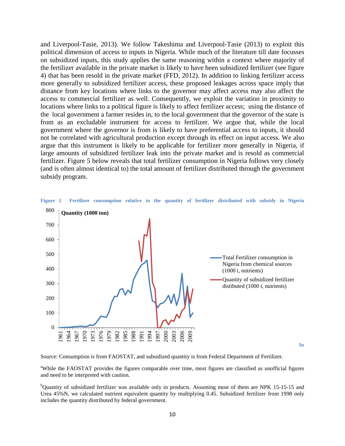and Liverpool-Tasie, 2013). We follow Takeshima and Liverpool-Tasie (2013) to exploit this political dimension of access to inputs in Nigeria. While much of the literature till date focusses on subsidized inputs, this study applies the same reasoning within a context where majority of the fertilizer available in the private market is likely to have been subsidized fertilizer (see figure 4) that has been resold in the private market (FFD, 2012). In addition to linking fertilizer access more generally to subsidized fertilizer access, these proposed leakages across space imply that distance from key locations where links to the governor may affect access may also affect the access to commercial fertilizer as well. Consequently, we exploit the variation in proximity to locations where links to a political figure is likely to affect fertilizer access; using the distance of the local government a farmer resides in, to the local government that the governor of the state is from as an excludable instrument for access to fertilizer. We argue that, while the local government where the governor is from is likely to have preferential access to inputs, it should not be correlated with agricultural production except through its effect on input access. We also argue that this instrument is likely to be applicable for fertilizer more generally in Nigeria, if large amounts of subsidized fertilizer leak into the private market and is resold as commercial fertilizer. Figure 5 below reveals that total fertilizer consumption in Nigeria follows very closely (and is often almost identical to) the total amount of fertilizer distributed through the government subsidy program.



**Figure 2 Fertilizer consumption relative to the quantity of fertilizer distributed with subsidy in Nigeria**

Source: Consumption is from FAOSTAT, and subsidized quantity is from Federal Department of Fertilizer.

<sup>a</sup>While the FAOSTAT provides the figures comparable over time, most figures are classified as unofficial figures and need to be interpreted with caution.

<sup>b</sup>Quantity of subsidized fertilizer was available only in products. Assuming most of them are NPK 15-15-15 and Urea 45%N, we calculated nutrient equivalent quantity by multiplying 0.45. Subsidized fertilizer from 1998 only includes the quantity distributed by federal government.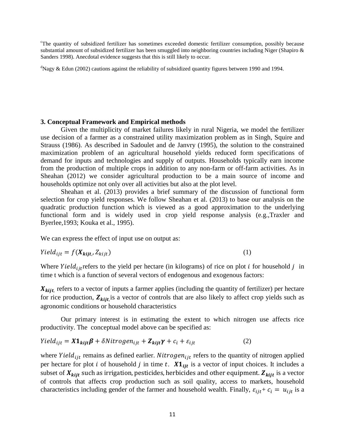<sup>c</sup>The quantity of subsidized fertilizer has sometimes exceeded domestic fertilizer consumption, possibly because substantial amount of subsidized fertilizer has been smuggled into neighboring countries including Niger (Shapiro  $\&$ Sanders 1998). Anecdotal evidence suggests that this is still likely to occur.

<sup>d</sup>Nagy & Edun (2002) cautions against the reliability of subsidized quantity figures between 1990 and 1994.

### **3. Conceptual Framework and Empirical methods**

Given the multiplicity of market failures likely in rural Nigeria, we model the fertilizer use decision of a farmer as a constrained utility maximization problem as in Singh, Squire and Strauss (1986). As described in Sadoulet and de Janvry (1995), the solution to the constrained maximization problem of an agricultural household yields reduced form specifications of demand for inputs and technologies and supply of outputs. Households typically earn income from the production of multiple crops in addition to any non-farm or off-farm activities. As in Sheahan (2012) we consider agricultural production to be a main source of income and households optimize not only over all activities but also at the plot level.

Sheahan et al. (2013) provides a brief summary of the discussion of functional form selection for crop yield responses. We follow Sheahan et al. (2013) to base our analysis on the quadratic production function which is viewed as a good approximation to the underlying functional form and is widely used in crop yield response analysis (e.g.,Traxler and Byerlee,1993; Kouka et al., 1995).

We can express the effect of input use on output as:

$$
Yield_{ijt} = f(X_{kijt}, Z_{kijt})
$$
\n(1)

Where Yield<sub>ijt</sub> refers to the yield per hectare (in kilograms) of rice on plot *i* for household *j* in time t which is a function of several vectors of endogenous and exogenous factors:

 $X_{kijt}$ , refers to a vector of inputs a farmer applies (including the quantity of fertilizer) per hectare for rice production,  $Z_{kijt}$  is a vector of controls that are also likely to affect crop yields such as agronomic conditions or household characteristics

Our primary interest is in estimating the extent to which nitrogen use affects rice productivity. The conceptual model above can be specified as:

$$
Yield_{ijt} = X1_{kijt}\beta + \delta Nitrogen_{ijt} + Z_{kijt}\gamma + c_i + \varepsilon_{ijt}
$$
 (2)

where Yield<sub>ijt</sub> remains as defined earlier. Nitrogen<sub>ijt</sub> refers to the quantity of nitrogen applied per hectare for plot *i* of household *j* in time *t*.  $X1_{ijt}$  is a vector of input choices. It includes a subset of  $X_{kijt}$  such as irrigation, pesticides, herbicides and other equipment.  $Z_{kijt}$  is a vector of controls that affects crop production such as soil quality, access to markets, household characteristics including gender of the farmer and household wealth. Finally,  $\varepsilon_{ijt} + c_i = u_{ijt}$  is a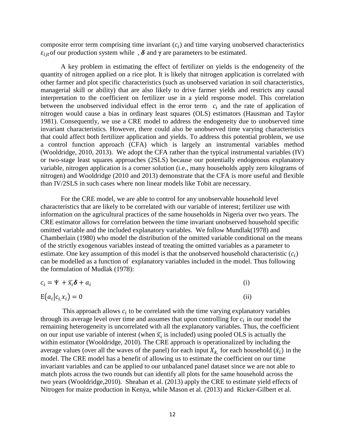composite error term comprising time invariant  $(c<sub>i</sub>)$  and time varying unobserved characteristics  $\varepsilon_{ij}$  of our production system while ,  $\delta$  and  $\gamma$  are parameters to be estimated.

A key problem in estimating the effect of fertilizer on yields is the endogeneity of the quantity of nitrogen applied on a rice plot. It is likely that nitrogen application is correlated with other farmer and plot specific characteristics (such as unobserved variation in soil characteristics, managerial skill or ability) that are also likely to drive farmer yields and restricts any causal interpretation to the coefficient on fertilizer use in a yield response model. This correlation between the unobserved individual effect in the error term  $c_i$  and the rate of application of nitrogen would cause a bias in ordinary least squares (OLS) estimators (Hausman and Taylor 1981). Consequently, we use a CRE model to address the endogeneity due to unobserved time invariant characteristics. However, there could also be unobserved time varying characteristics that could affect both fertilizer application and yields. To address this potential problem, we use a control function approach (CFA) which is largely an instrumental variables method (Wooldridge, 2010, 2013). We adopt the CFA rather than the typical instrumental variables (IV) or two-stage least squares approaches (2SLS) because our potentially endogenous explanatory variable, nitrogen application is a corner solution (i.e., many households apply zero kilograms of nitrogen) and Wooldridge (2010 and 2013) demonstrate that the CFA is more useful and flexible than IV/2SLS in such cases where non linear models like Tobit are necessary.

For the CRE model, we are able to control for any unobservable household level characteristics that are likely to be correlated with our variable of interest; fertilizer use with information on the agricultural practices of the same households in Nigeria over two years. The CRE estimator allows for correlation between the time invariant unobserved household specific omitted variable and the included explanatory variables. We follow Mundlak(1978) and Chamberlain (1980) who model the distribution of the omitted variable conditional on the means of the strictly exogenous variables instead of treating the omitted variables as a parameter to estimate. One key assumption of this model is that the unobserved household characteristic  $(c_i)$ can be modelled as a function of explanatory variables included in the model. Thus following the formulation of Mudlak (1978):

$$
c_i = \Psi + \overline{x_i} \delta + a_i
$$
  
\n
$$
E(a_i|c_i, x_i) = 0
$$
\n(ii)

This approach allows  $c_i$  to be correlated with the time varying explanatory variables through its average level over time and assumes that upon controlling for  $c_i$  in our model the remaining heterogeneity is uncorrelated with all the explanatory variables. Thus, the coefficient on our input use variable of interest (when  $\overline{x}_i$  is included) using pooled OLS is actually the within estimator (Wooldridge, 2010). The CRE approach is operationalized by including the average values (over all the waves of the panel) for each input  $X_{k}$  for each household  $(\bar{x}_i)$  in the model. The CRE model has a benefit of allowing us to estimate the coefficient on our time invariant variables and can be applied to our unbalanced panel dataset since we are not able to match plots across the two rounds but can identify all plots for the same household across the two years (Wooldridge,2010). Sheahan et al. (2013) apply the CRE to estimate yield effects of Nitrogen for maize production in Kenya, while Mason et al. (2013) and Ricker-Gilbert et al.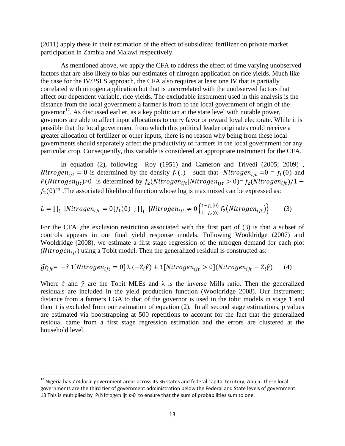(2011) apply these in their estimation of the effect of subsidized fertilizer on private market participation in Zambia and Malawi respectively.

As mentioned above, we apply the CFA to address the effect of time varying unobserved factors that are also likely to bias our estimates of nitrogen application on rice yields. Much like the case for the IV/2SLS approach, the CFA also requires at least one IV that is partially correlated with nitrogen application but that is uncorrelated with the unobserved factors that affect our dependent variable, rice yields. The excludable instrument used in this analysis is the distance from the local government a farmer is from to the local government of origin of the governor<sup>12</sup>. As discussed earlier, as a key politician at the state level with notable power, governors are able to affect input allocations to curry favor or reward loyal electorate. While it is possible that the local government from which this political leader originates could receive a greater allocation of fertilizer or other inputs, there is no reason why being from these local governments should separately affect the productivity of farmers in the local government for any particular crop. Consequently, this variable is considered an appropriate instrument for the CFA.

In equation (2), following Roy (1951) and Cameron and Trivedi (2005; 2009), Nitrogen<sub>iit</sub> = 0 is determined by the density  $f_1(.)$  such that Nitrogen<sub>iit</sub> =0 =  $f_1(0)$  and  $P(Nitrogen_{ijt})>0$  is determined by  $f_2(Nitrogen_{ijt}|Nitrogen_{ijt} > 0) = f_2(Nitrogen_{ijt})/1$  $f_2(0)^{13}$ . The associated likelihood function whose log is maximized can be expressed as:

$$
L = \prod_i |Nitrogen_{ijt} = 0\{f_1(0)\}\prod_i |Nitrogen_{ijt} \neq 0\left\{\frac{1 - f_1(0)}{1 - f_2(0)}f_2(Nitrogen_{ijt})\right\} \tag{3}
$$

For the CFA ,the exclusion restriction associated with the first part of (3) is that a subset of controls appears in our final yield response models. Following Wooldridge (2007) and Wooldridge (2008), we estimate a first stage regression of the nitrogen demand for each plot ( $Nitrogen_{ijt}$ ) using a Tobit model. Then the generalized residual is constructed as:

$$
\widehat{gr}_{ijt} = -\hat{\tau} \ 1[Nitrogen_{ijt} = 0] \ \lambda \ (-Z_i \hat{\gamma}) + 1[Nitrogen_{ijt} > 0] (Nitrogen_{ijt} - Z_i \hat{\gamma}) \tag{4}
$$

Where  $\hat{\tau}$  and  $\hat{\gamma}$  are the Tobit MLEs and  $\lambda$  is the inverse Mills ratio. Then the generalized residuals are included in the yield production function (Wooldridge 2008). Our instrument; distance from a farmers LGA to that of the governor is used in the tobit models in stage 1 and then it is excluded from our estimation of equation (2). In all second stage estimations, p values are estimated via bootstrapping at 500 repetitions to account for the fact that the generalized residual came from a first stage regression estimation and the errors are clustered at the household level.

<span id="page-12-0"></span> $12$  Nigeria has 774 local government areas across its 36 states and federal capital territory, Abuja. These local governments are the third tier of government administration below the Federal and State levels of government. 13 This is multiplied by P(Nitrogen ijt )>0 to ensure that the sum of probabilities sum to one.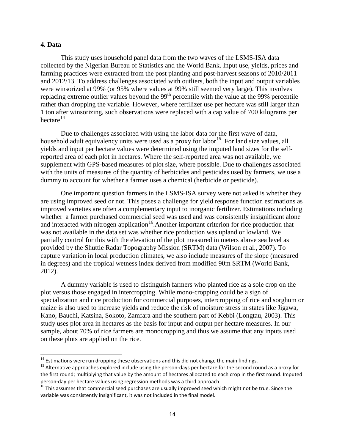## **4. Data**

This study uses household panel data from the two waves of the LSMS-ISA data collected by the Nigerian Bureau of Statistics and the World Bank. Input use, yields, prices and farming practices were extracted from the post planting and post-harvest seasons of 2010/2011 and 2012/13. To address challenges associated with outliers, both the input and output variables were winsorized at 99% (or 95% where values at 99% still seemed very large). This involves replacing extreme outlier values beyond the  $99<sup>th</sup>$  percentile with the value at the 99% percentile rather than dropping the variable. However, where fertilizer use per hectare was still larger than 1 ton after winsorizing, such observations were replaced with a cap value of 700 kilograms per hectare $^{14}$  $^{14}$  $^{14}$ 

Due to challenges associated with using the labor data for the first wave of data, household adult equivalency units were used as a proxy for labor<sup>15</sup>. For land size values, all yields and input per hectare values were determined using the imputed land sizes for the selfreported area of each plot in hectares. Where the self-reported area was not available, we supplement with GPS-based measures of plot size, where possible. Due to challenges associated with the units of measures of the quantity of herbicides and pesticides used by farmers, we use a dummy to account for whether a farmer uses a chemical (herbicide or pesticide).

One important question farmers in the LSMS-ISA survey were not asked is whether they are using improved seed or not. This poses a challenge for yield response function estimations as improved varieties are often a complementary input to inorganic fertilizer. Estimations including whether a farmer purchased commercial seed was used and was consistently insignificant alone and interacted with nitrogen application<sup>16</sup>. Another important criterion for rice production that was not available in the data set was whether rice production was upland or lowland. We partially control for this with the elevation of the plot measured in meters above sea level as provided by the Shuttle Radar Topography Mission (SRTM) data (Wilson et al., 2007). To capture variation in local production climates, we also include measures of the slope (measured in degrees) and the tropical wetness index derived from modified 90m SRTM (World Bank, 2012).

A dummy variable is used to distinguish farmers who planted rice as a sole crop on the plot versus those engaged in intercropping. While mono-cropping could be a sign of specialization and rice production for commercial purposes, intercropping of rice and sorghum or maize is also used to increase yields and reduce the risk of moisture stress in states like Jigawa, Kano, Bauchi, Katsina, Sokoto, Zamfara and the southern part of Kebbi (Longtau, 2003). This study uses plot area in hectares as the basis for input and output per hectare measures. In our sample, about 70% of rice farmers are monocropping and thus we assume that any inputs used on these plots are applied on the rice.

<span id="page-13-1"></span><span id="page-13-0"></span><sup>&</sup>lt;sup>14</sup> Estimations were run dropping these observations and this did not change the main findings.<br><sup>15</sup> Alternative approaches explored include using the person-days per hectare for the second round as a proxy for the first round; multiplying that value by the amount of hectares allocated to each crop in the first round. Imputed person-day per hectare values using regression methods was a third approach.<br><sup>16</sup> This assumes that commercial seed purchases are usually improved seed which might not be true. Since the

<span id="page-13-2"></span>variable was consistently insignificant, it was not included in the final model.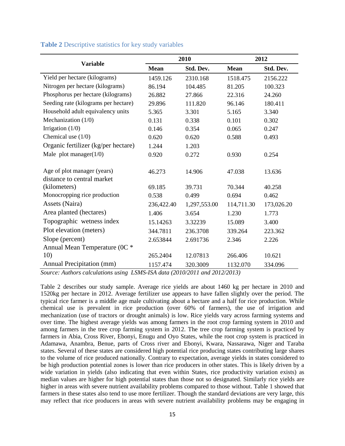|                                      |             | 2010         | 2012        |            |  |
|--------------------------------------|-------------|--------------|-------------|------------|--|
| <b>Variable</b>                      | <b>Mean</b> | Std. Dev.    | <b>Mean</b> | Std. Dev.  |  |
| Yield per hectare (kilograms)        | 1459.126    | 2310.168     | 1518.475    | 2156.222   |  |
| Nitrogen per hectare (kilograms)     | 86.194      | 104.485      | 81.205      | 100.323    |  |
| Phosphorus per hectare (kilograms)   | 26.882      | 27.866       | 22.316      | 24.260     |  |
| Seeding rate (kilograms per hectare) | 29.896      | 111.820      | 96.146      | 180.411    |  |
| Household adult equivalency units    | 5.365       | 3.301        | 5.165       | 3.340      |  |
| Mechanization (1/0)                  | 0.131       | 0.338        | 0.101       | 0.302      |  |
| Irrigation $(1/0)$                   | 0.146       | 0.354        | 0.065       | 0.247      |  |
| Chemical use $(1/0)$                 | 0.620       | 0.620        | 0.588       | 0.493      |  |
| Organic fertilizer (kg/per hectare)  | 1.244       | 1.203        |             |            |  |
| Male plot manager $(1/0)$            | 0.920       | 0.272        | 0.930       | 0.254      |  |
|                                      |             |              |             |            |  |
| Age of plot manager (years)          | 46.273      | 14.906       | 47.038      | 13.636     |  |
| distance to central market           |             |              |             |            |  |
| (kilometers)                         | 69.185      | 39.731       | 70.344      | 40.258     |  |
| Monocropping rice production         | 0.538       | 0.499        | 0.694       | 0.462      |  |
| Assets (Naira)                       | 236,422.40  | 1,297,553.00 | 114,711.30  | 173,026.20 |  |
| Area planted (hectares)              | 1.406       | 3.654        | 1.230       | 1.773      |  |
| Topographic wetness index            | 15.14263    | 3.32239      | 15.089      | 3.400      |  |
| Plot elevation (meters)              | 344.7811    | 236.3708     | 339.264     | 223.362    |  |
| Slope (percent)                      | 2.653844    | 2.691736     | 2.346       | 2.226      |  |
| Annual Mean Temperature (0C *        |             |              |             |            |  |
| 10)                                  | 265.2404    | 12.07813     | 266.406     | 10.621     |  |
| Annual Precipitation (mm)            | 1157.474    | 320.3009     | 1132.070    | 334.096    |  |

## **Table 2** Descriptive statistics for key study variables

*Source: Authors calculations using LSMS-ISA data (2010/2011 and 2012/2013)*

Table 2 describes our study sample. Average rice yields are about 1460 kg per hectare in 2010 and 1520kg per hectare in 2012. Average fertilizer use appears to have fallen slightly over the period. The typical rice farmer is a middle age male cultivating about a hectare and a half for rice production. While chemical use is prevalent in rice production (over 60% of farmers), the use of irrigation and mechanization (use of tractors or drought animals) is low. Rice yields vary across farming systems and over time. The highest average yields was among farmers in the root crop farming system in 2010 and among farmers in the tree crop farming system in 2012. The tree crop farming system is practiced by farmers in Abia, Cross River, Ebonyi, Enugu and Oyo States, while the root crop system is practiced in Adamawa, Anambra, Benue, parts of Cross river and Ebonyi, Kwara, Nassarawa, Niger and Taraba states. Several of these states are considered high potential rice producing states contributing large shares to the volume of rice produced nationally. Contrary to expectation, average yields in states considered to be high production potential zones is lower than rice producers in other states. This is likely driven by a wide variation in yields (also indicating that even within States, rice productivity variation exists) as median values are higher for high potential states than those not so designated. Similarly rice yields are higher in areas with severe nutrient availability problems compared to those without. Table 1 showed that farmers in these states also tend to use more fertilizer. Though the standard deviations are very large, this may reflect that rice producers in areas with severe nutrient availability problems may be engaging in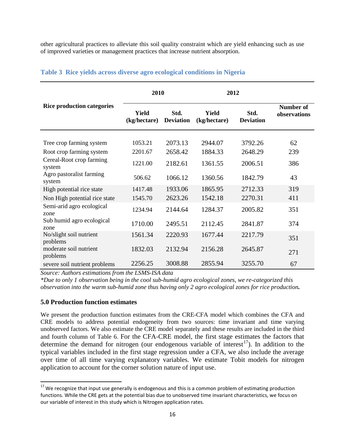other agricultural practices to alleviate this soil quality constraint which are yield enhancing such as use of improved varieties or management practices that increase nutrient absorption.

|                                     | 2010                         |                          | 2012                  |                          |                                  |
|-------------------------------------|------------------------------|--------------------------|-----------------------|--------------------------|----------------------------------|
| <b>Rice production categories</b>   | <b>Yield</b><br>(kg/hectare) | Std.<br><b>Deviation</b> | Yield<br>(kg/hectare) | Std.<br><b>Deviation</b> | <b>Number of</b><br>observations |
| Tree crop farming system            | 1053.21                      | 2073.13                  | 2944.07               | 3792.26                  | 62                               |
| Root crop farming system            | 2201.67                      | 2658.42                  | 1884.33               | 2648.29                  | 239                              |
| Cereal-Root crop farming<br>system  | 1221.00                      | 2182.61                  | 1361.55               | 2006.51                  | 386                              |
| Agro pastoralist farming<br>system  | 506.62                       | 1066.12                  | 1360.56               | 1842.79                  | 43                               |
| High potential rice state           | 1417.48                      | 1933.06                  | 1865.95               | 2712.33                  | 319                              |
| Non High potential rice state       | 1545.70                      | 2623.26                  | 1542.18               | 2270.31                  | 411                              |
| Semi-arid agro ecological<br>zone   | 1234.94                      | 2144.64                  | 1284.37               | 2005.82                  | 351                              |
| Sub humid agro ecological<br>zone   | 1710.00                      | 2495.51                  | 2112.45               | 2841.87                  | 374                              |
| No/slight soil nutrient<br>problems | 1561.34                      | 2220.93                  | 1677.44               | 2217.79                  | 351                              |
| moderate soil nutrient<br>problems  | 1832.03                      | 2132.94                  | 2156.28               | 2645.87                  | 271                              |
| severe soil nutrient problems       | 2256.25                      | 3008.88                  | 2855.94               | 3255.70                  | 67                               |

# **Table 3 Rice yields across diverse agro ecological conditions in Nigeria**

*Source: Authors estimations from the LSMS-ISA data*

*\*Due to only 1 observation being in the cool sub-humid agro ecological zones, we re-categorized this observation into the warm sub-humid zone thus having only 2 agro ecological zones for rice production.* 

## **5.0 Production function estimates**

We present the production function estimates from the CRE-CFA model which combines the CFA and CRE models to address potential endogeneity from two sources: time invariant and time varying unobserved factors. We also estimate the CRE model separately and these results are included in the third and fourth column of Table 6. For the CFA-CRE model, the first stage estimates the factors that determine the demand for nitrogen (our endogenous variable of interest<sup>17</sup>). In addition to the typical variables included in the first stage regression under a CFA, we also include the average over time of all time varying explanatory variables. We estimate Tobit models for nitrogen application to account for the corner solution nature of input use.

<span id="page-15-0"></span><sup>&</sup>lt;sup>17</sup> We recognize that input use generally is endogenous and this is a common problem of estimating production functions. While the CRE gets at the potential bias due to unobserved time invariant characteristics, we focus on our variable of interest in this study which is Nitrogen application rates.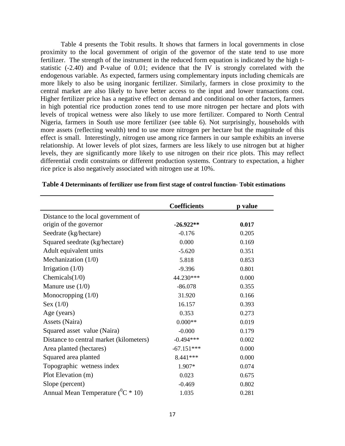Table 4 presents the Tobit results. It shows that farmers in local governments in close proximity to the local government of origin of the governor of the state tend to use more fertilizer. The strength of the instrument in the reduced form equation is indicated by the high tstatistic (-2.40) and P-value of 0.01; evidence that the IV is strongly correlated with the endogenous variable. As expected, farmers using complementary inputs including chemicals are more likely to also be using inorganic fertilizer. Similarly, farmers in close proximity to the central market are also likely to have better access to the input and lower transactions cost. Higher fertilizer price has a negative effect on demand and conditional on other factors, farmers in high potential rice production zones tend to use more nitrogen per hectare and plots with levels of tropical wetness were also likely to use more fertilizer. Compared to North Central Nigeria, farmers in South use more fertilizer (see table 6). Not surprisingly, households with more assets (reflecting wealth) tend to use more nitrogen per hectare but the magnitude of this effect is small. Interestingly, nitrogen use among rice farmers in our sample exhibits an inverse relationship. At lower levels of plot sizes, farmers are less likely to use nitrogen but at higher levels, they are significantly more likely to use nitrogen on their rice plots. This may reflect differential credit constraints or different production systems. Contrary to expectation, a higher rice price is also negatively associated with nitrogen use at 10%.

|                                            | <b>Coefficients</b> | p value |
|--------------------------------------------|---------------------|---------|
| Distance to the local government of        |                     |         |
| origin of the governor                     | $-26.922**$         | 0.017   |
| Seedrate (kg/hectare)                      | $-0.176$            | 0.205   |
| Squared seedrate (kg/hectare)              | 0.000               | 0.169   |
| Adult equivalent units                     | $-5.620$            | 0.351   |
| Mechanization $(1/0)$                      | 5.818               | 0.853   |
| Irrigation $(1/0)$                         | $-9.396$            | 0.801   |
| Chemicals $(1/0)$                          | 44.230***           | 0.000   |
| Manure use $(1/0)$                         | $-86.078$           | 0.355   |
| Monocropping $(1/0)$                       | 31.920              | 0.166   |
| Sex $(1/0)$                                | 16.157              | 0.393   |
| Age (years)                                | 0.353               | 0.273   |
| Assets (Naira)                             | $0.000**$           | 0.019   |
| Squared asset value (Naira)                | $-0.000$            | 0.179   |
| Distance to central market (kilometers)    | $-0.494***$         | 0.002   |
| Area planted (hectares)                    | $-67.151***$        | 0.000   |
| Squared area planted                       | 8.441 ***           | 0.000   |
| Topographic wetness index                  | 1.907*              | 0.074   |
| Plot Elevation (m)                         | 0.023               | 0.675   |
| Slope (percent)                            | $-0.469$            | 0.802   |
| Annual Mean Temperature ( ${}^{0}C * 10$ ) | 1.035               | 0.281   |

### **Table 4 Determinants of fertilizer use from first stage of control function- Tobit estimations**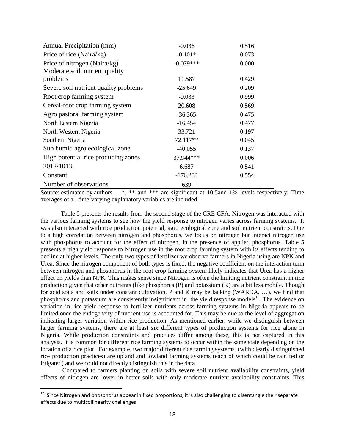| Annual Precipitation (mm)             | $-0.036$    | 0.516 |
|---------------------------------------|-------------|-------|
| Price of rice (Naira/kg)              | $-0.101*$   | 0.073 |
| Price of nitrogen (Naira/kg)          | $-0.079***$ | 0.000 |
| Moderate soil nutrient quality        |             |       |
| problems                              | 11.587      | 0.429 |
| Severe soil nutrient quality problems | $-25.649$   | 0.209 |
| Root crop farming system              | $-0.033$    | 0.999 |
| Cereal-root crop farming system       | 20.608      | 0.569 |
| Agro pastoral farming system          | $-36.365$   | 0.475 |
| North Eastern Nigeria                 | $-16.454$   | 0.477 |
| North Western Nigeria                 | 33.721      | 0.197 |
| Southern Nigeria                      | 72.117**    | 0.045 |
| Sub humid agro ecological zone        | $-40.055$   | 0.137 |
| High potential rice producing zones   | 37.944***   | 0.006 |
| 2012/1013                             | 6.687       | 0.541 |
| Constant                              | $-176.283$  | 0.554 |
| Number of observations                | 639         |       |

Source: estimated by authors  $*$ ,  $**$  and  $***$  are significant at 10,5and 1% levels respectively. Time averages of all time-varying explanatory variables are included

Table 5 presents the results from the second stage of the CRE-CFA. Nitrogen was interacted with the various farming systems to see how the yield response to nitrogen varies across farming systems. It was also interacted with rice production potential, agro ecological zone and soil nutrient constraints. Due to a high correlation between nitrogen and phosphorus, we focus on nitrogen but interact nitrogen use with phosphorus to account for the effect of nitrogen, in the presence of applied phosphorus. Table 5 presents a high yield response to Nitrogen use in the root crop farming system with its effects tending to decline at higher levels. The only two types of fertilizer we observe farmers in Nigeria using are NPK and Urea. Since the nitrogen component of both types is fixed, the negative coefficient on the interaction term between nitrogen and phosphorus in the root crop farming system likely indicates that Urea has a higher effect on yields than NPK. This makes sense since Nitrogen is often the limiting nutrient constraint in rice production given that other nutrients (like phosphorus (P) and potassium (K) are a bit less mobile. Though for acid soils and soils under constant cultivation, P and K may be lacking (WARDA, …), we find that phosphorus and potassium are consistently insignificant in the yield response models<sup>18</sup>. The evidence on variation in rice yield response to fertilizer nutrients across farming systems in Nigeria appears to be limited once the endogeneity of nutrient use is accounted for. This may be due to the level of aggregation indicating larger variation within rice production. As mentioned earlier, while we distinguish between larger farming systems, there are at least six different types of production systems for rice alone in Nigeria. While production constraints and practices differ among these, this is not captured in this analysis. It is common for different rice farming systems to occur within the same state depending on the location of a rice plot. For example, two major different rice farming systems (with clearly distinguished rice production practices) are upland and lowland farming systems (each of which could be rain fed or irrigated) and we could not directly distinguish this in the data

Compared to farmers planting on soils with severe soil nutrient availability constraints, yield effects of nitrogen are lower in better soils with only moderate nutrient availability constraints. This

<span id="page-17-0"></span> $18$  Since Nitrogen and phosphorus appear in fixed proportions, it is also challenging to disentangle their separate effects due to multicollinearity challenges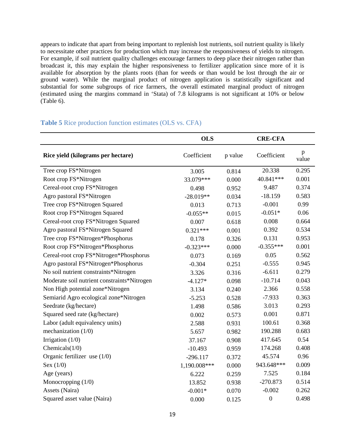appears to indicate that apart from being important to replenish lost nutrients, soil nutrient quality is likely to necessitate other practices for production which may increase the responsiveness of yields to nitrogen. For example, if soil nutrient quality challenges encourage farmers to deep place their nitrogen rather than broadcast it, this may explain the higher responsiveness to fertilizer application since more of it is available for absorption by the plants roots (than for weeds or than would be lost through the air or ground water). While the marginal product of nitrogen application is statistically significant and substantial for some subgroups of rice farmers, the overall estimated marginal product of nitrogen (estimated using the margins command in 'Stata) of 7.8 kilograms is not significant at 10% or below (Table 6).

# **OLS CRE-CFA Rice yield (kilograms per hectare)** Coefficient p value Coefficient p value Tree crop FS\*Nitrogen 3.005 0.814 20.338 0.295 Root crop FS\*Nitrogen 33.079\*\*\* 0.000 40.841\*\*\* 0.001 Cereal-root crop FS\*Nitrogen 0.498 0.952 9.487 0.374 Agro pastoral FS\*Nitrogen -28.019\*\* 0.034 -18.159 0.583 Tree crop FS\*Nitrogen Squared 0.013 0.713 -0.001 0.99 Root crop FS\*Nitrogen Squared -0.055\*\* 0.015 -0.051\* 0.06 Cereal-root crop FS\*Nitrogen Squared 0.007 0.618 0.008 0.664 Agro pastoral FS\*Nitrogen Squared  $0.321***$  0.001 0.392 0.534 Tree crop FS\*Nitrogen\*Phosphorus 0.178 0.326 0.131 0.953 Root crop FS\*Nitrogen\*Phosphorus -0.323\*\*\* 0.000 -0.355\*\*\* 0.001 Cereal-root crop FS\*Nitrogen\*Phosphorus 0.073 0.169 0.05 0.562 Agro pastoral FS\*Nitrogen\*Phosphorus -0.304 0.251 -0.555 0.945 No soil nutrient constraints\*Nitrogen 3.326 0.316 -6.611 0.279 Moderate soil nutrient constraints\*Nitrogen  $-4.127*$  0.098  $-10.714$  0.043 Non High potential zone\*Nitrogen 3.134 0.240 2.366 0.558 Semiarid Agro ecological zone\*Nitrogen -5.253 0.528 -7.933 0.363 Seedrate (kg/hectare) 1.498 0.586 3.013 0.293 Squared seed rate (kg/hectare) 0.002 0.573 0.001 0.871 Labor (adult equivalency units) 2.588 0.931 100.61 0.368 mechanization (1/0) 5.657 0.982 190.288 0.683 Irrigation (1/0) 37.167 0.908 417.645 0.54 Chemicals(1/0) -10.493 0.959 174.268 0.408 Organic fertilizer use (1/0)  $-296.117$  0.372  $45.574$  0.96 Sex (1/0) 1,190.008\*\*\* 0.000 943.648\*\*\* 0.009 Age (years) 6.222 0.259 7.525 0.184 Monocropping (1/0) 13.852 0.938 -270.873 0.514 Assets (Naira)  $-0.001*$   $-0.001*$   $-0.002$   $-0.262$ Squared asset value (Naira) 0.000 0.125 0 0.498

## **Table 5** Rice production function estimates (OLS vs. CFA)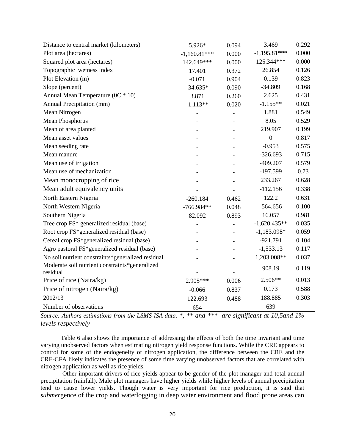| Distance to central market (kilometers)                    | 5.926*         | 0.094                    | 3.469          | 0.292 |
|------------------------------------------------------------|----------------|--------------------------|----------------|-------|
| Plot area (hectares)                                       | $-1,160.81***$ | 0.000                    | $-1,195.81***$ | 0.000 |
| Squared plot area (hectares)                               | 142.649***     | 0.000                    | 125.344***     | 0.000 |
| Topographic wetness index                                  | 17.401         | 0.372                    | 26.854         | 0.126 |
| Plot Elevation (m)                                         | $-0.071$       | 0.904                    | 0.139          | 0.823 |
| Slope (percent)                                            | $-34.635*$     | 0.090                    | $-34.809$      | 0.168 |
| Annual Mean Temperature (0C * 10)                          | 3.871          | 0.260                    | 2.625          | 0.431 |
| Annual Precipitation (mm)                                  | $-1.113**$     | 0.020                    | $-1.155**$     | 0.021 |
| Mean Nitrogen                                              |                | $\overline{\phantom{0}}$ | 1.881          | 0.549 |
| Mean Phosphorus                                            |                |                          | 8.05           | 0.529 |
| Mean of area planted                                       |                |                          | 219.907        | 0.199 |
| Mean asset values                                          |                |                          | $\overline{0}$ | 0.817 |
| Mean seeding rate                                          |                |                          | $-0.953$       | 0.575 |
| Mean manure                                                |                |                          | $-326.693$     | 0.715 |
| Mean use of irrigation                                     |                |                          | $-409.207$     | 0.579 |
| Mean use of mechanization                                  |                |                          | $-197.599$     | 0.73  |
| Mean monocropping of rice                                  |                |                          | 233.267        | 0.628 |
| Mean adult equivalency units                               |                |                          | $-112.156$     | 0.338 |
| North Eastern Nigeria                                      | $-260.184$     | 0.462                    | 122.2          | 0.631 |
| North Western Nigeria                                      | $-766.984**$   | 0.048                    | $-564.656$     | 0.100 |
| Southern Nigeria                                           | 82.092         | 0.893                    | 16.057         | 0.981 |
| Tree crop FS* generalized residual (base)                  |                |                          | $-1,620.435**$ | 0.035 |
| Root crop FS*generalized residual (base)                   |                |                          | $-1,183.098*$  | 0.059 |
| Cereal crop FS*generalized residual (base)                 |                |                          | $-921.791$     | 0.104 |
| Agro pastoral FS*generalized residual (base)               |                |                          | $-1,533.13$    | 0.117 |
| No soil nutrient constraints*generalized residual          |                |                          | 1,203.008**    | 0.037 |
| Moderate soil nutrient constraints*generalized<br>residual |                |                          | 908.19         | 0.119 |
| Price of rice (Naira/kg)                                   | 2.905***       | 0.006                    | $2.506**$      | 0.013 |
| Price of nitrogen (Naira/kg)                               | $-0.066$       | 0.837                    | 0.173          | 0.588 |
| 2012/13                                                    | 122.693        | 0.488                    | 188.885        | 0.303 |
| Number of observations                                     | 654            |                          | 639            |       |

*Source: Authors estimations from the LSMS-ISA data. \*, \*\* and \*\*\* are significant at 10,5and 1% levels respectively*

Table 6 also shows the importance of addressing the effects of both the time invariant and time varying unobserved factors when estimating nitrogen yield response functions. While the CRE appears to control for some of the endogeneity of nitrogen application, the difference between the CRE and the CRE-CFA likely indicates the presence of some time varying unobserved factors that are correlated with nitrogen application as well as rice yields.

Other important drivers of rice yields appear to be gender of the plot manager and total annual precipitation (rainfall). Male plot managers have higher yields while higher levels of annual precipitation tend to cause lower yields. Though water is very important for rice production, it is said that *submer*gence of the crop and waterlogging in deep water environment and flood prone areas can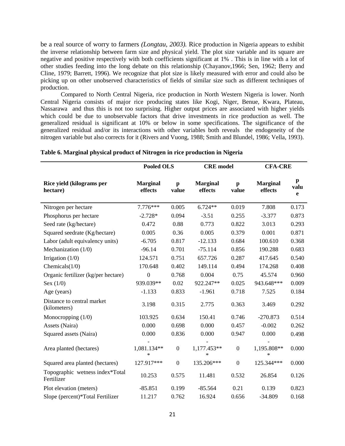be a real source of worry to farmers *(Longtau, 2003).* Rice production in Nigeria appears to exhibit the inverse relationship between farm size and physical yield. The plot size variable and its square are negative and positive respectively with both coefficients significant at 1% . This is in line with a lot of other studies feeding into the long debate on this relationship (Chayanov,1966; Sen, 1962; Berry and Cline, 1979; Barrett, 1996). We recognize that plot size is likely measured with error and could also be picking up on other unobserved characteristics of fields of similar size such as different techniques of production.

Compared to North Central Nigeria, rice production in North Western Nigeria is lower. North Central Nigeria consists of major rice producing states like Kogi, Niger, Benue, Kwara, Plateau, Nassarawa and thus this is not too surprising. Higher output prices are associated with higher yields which could be due to unobservable factors that drive investments in rice production as well. The generalized residual is significant at 10% or below in some specifications. The significance of the generalized residual and/or its interactions with other variables both reveals the endogeneity of the nitrogen variable but also corrects for it (Rivers and Vuong, 1988; Smith and Blundel, 1986; Vella, 1993).

|                                               | <b>Pooled OLS</b>          |                       | <b>CRE</b> model           |                       | <b>CFA-CRE</b>             |                          |
|-----------------------------------------------|----------------------------|-----------------------|----------------------------|-----------------------|----------------------------|--------------------------|
| Rice yield (kilograms per<br>hectare)         | <b>Marginal</b><br>effects | $\mathbf{p}$<br>value | <b>Marginal</b><br>effects | $\mathbf{p}$<br>value | <b>Marginal</b><br>effects | p<br>valu<br>$\mathbf e$ |
| Nitrogen per hectare                          | 7.776***                   | 0.005                 | $6.724**$                  | 0.019                 | 7.808                      | 0.173                    |
| Phosphorus per hectare                        | $-2.728*$                  | 0.094                 | $-3.51$                    | 0.255                 | $-3.377$                   | 0.873                    |
| Seed rate (kg/hectare)                        | 0.472                      | 0.88                  | 0.773                      | 0.822                 | 3.013                      | 0.293                    |
| Squared seedrate (Kg/hectare)                 | 0.005                      | 0.36                  | 0.005                      | 0.379                 | 0.001                      | 0.871                    |
| Labor (adult equivalency units)               | $-6.705$                   | 0.817                 | $-12.133$                  | 0.684                 | 100.610                    | 0.368                    |
| Mechanization $(1/0)$                         | $-96.14$                   | 0.701                 | $-75.114$                  | 0.856                 | 190.288                    | 0.683                    |
| Irrigation $(1/0)$                            | 124.571                    | 0.751                 | 657.726                    | 0.287                 | 417.645                    | 0.540                    |
| Chemicals $(1/0)$                             | 170.648                    | 0.402                 | 149.114                    | 0.494                 | 174.268                    | 0.408                    |
| Organic fertilizer (kg/per hectare)           | $\boldsymbol{0}$           | 0.768                 | 0.004                      | 0.75                  | 45.574                     | 0.960                    |
| Sex $(1/0)$                                   | 939.039**                  | 0.02                  | 922.247**                  | 0.025                 | 943.648***                 | 0.009                    |
| Age (years)                                   | $-1.133$                   | 0.833                 | $-1.961$                   | 0.718                 | 7.525                      | 0.184                    |
| Distance to central market<br>(kilometers)    | 3.198                      | 0.315                 | 2.775                      | 0.363                 | 3.469                      | 0.292                    |
| Monocropping $(1/0)$                          | 103.925                    | 0.634                 | 150.41                     | 0.746                 | $-270.873$                 | 0.514                    |
| Assets (Naira)                                | 0.000                      | 0.698                 | 0.000                      | 0.457                 | $-0.002$                   | 0.262                    |
| Squared assets (Naira)                        | 0.000                      | 0.836                 | 0.000                      | 0.947                 | 0.000                      | 0.498                    |
| Area planted (hectares)                       | 1,081.134**<br>$\ast$      | $\boldsymbol{0}$      | 1,177.453**<br>$\ast$      | $\boldsymbol{0}$      | 1,195.808**<br>*           | 0.000                    |
| Squared area planted (hectares)               | 127.917***                 | $\boldsymbol{0}$      | 135.206***                 | $\boldsymbol{0}$      | 125.344***                 | 0.000                    |
| Topographic wetness index*Total<br>Fertilizer | 10.253                     | 0.575                 | 11.481                     | 0.532                 | 26.854                     | 0.126                    |
| Plot elevation (meters)                       | $-85.851$                  | 0.199                 | $-85.564$                  | 0.21                  | 0.139                      | 0.823                    |
| Slope (percent)*Total Fertilizer              | 11.217                     | 0.762                 | 16.924                     | 0.656                 | $-34.809$                  | 0.168                    |

### **Table 6. Marginal physical product of Nitrogen in rice production in Nigeria**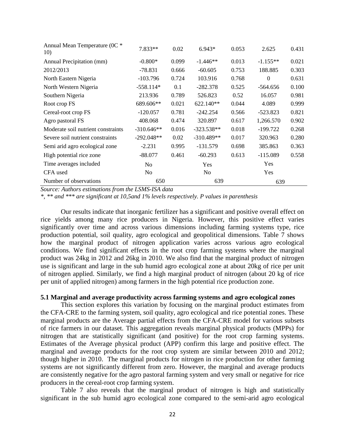| Annual Mean Temperature (0C *<br>10) | 7.833**        | 0.02  | $6.943*$       | 0.053 | 2.625      | 0.431 |
|--------------------------------------|----------------|-------|----------------|-------|------------|-------|
| Annual Precipitation (mm)            | $-0.800*$      | 0.099 | $-1.446**$     | 0.013 | $-1.155**$ | 0.021 |
| 2012/2013                            | $-78.831$      | 0.666 | $-60.605$      | 0.753 | 188.885    | 0.303 |
| North Eastern Nigeria                | $-103.796$     | 0.724 | 103.916        | 0.768 | $\theta$   | 0.631 |
| North Western Nigeria                | $-558.114*$    | 0.1   | $-282.378$     | 0.525 | $-564.656$ | 0.100 |
| Southern Nigeria                     | 213.936        | 0.789 | 526.823        | 0.52  | 16.057     | 0.981 |
| Root crop FS                         | 689.606**      | 0.021 | 622.140**      | 0.044 | 4.089      | 0.999 |
| Cereal-root crop FS                  | $-120.057$     | 0.781 | $-242.254$     | 0.566 | $-523.823$ | 0.821 |
| Agro pastoral FS                     | 408.068        | 0.474 | 320.897        | 0.617 | 1,266.570  | 0.902 |
| Moderate soil nutrient constraints   | $-310.646**$   | 0.016 | $-323.538**$   | 0.018 | $-199.722$ | 0.268 |
| Severe soil nutrient constraints     | $-292.048**$   | 0.02  | $-310.489**$   | 0.017 | 320.963    | 0.280 |
| Semi arid agro ecological zone       | $-2.231$       | 0.995 | $-131.579$     | 0.698 | 385.863    | 0.363 |
| High potential rice zone             | $-88.077$      | 0.461 | $-60.293$      | 0.613 | $-115.089$ | 0.558 |
| Time averages included               | N <sub>0</sub> |       | Yes            |       | <b>Yes</b> |       |
| CFA used                             | N <sub>0</sub> |       | N <sub>0</sub> |       | Yes        |       |
| Number of observations               | 650            |       | 639            |       | 639        |       |

*Source: Authors estimations from the LSMS-ISA data*

*\*, \*\* and \*\*\* are significant at 10,5and 1% levels respectively. P values in parenthesis*

Our results indicate that inorganic fertilizer has a significant and positive overall effect on rice yields among many rice producers in Nigeria. However, this positive effect varies significantly over time and across various dimensions including farming systems type, rice production potential, soil quality, agro ecological and geopolitical dimensions. Table 7 shows how the marginal product of nitrogen application varies across various agro ecological conditions. We find significant effects in the root crop farming systems where the marginal product was 24kg in 2012 and 26kg in 2010. We also find that the marginal product of nitrogen use is significant and large in the sub humid agro ecological zone at about 20kg of rice per unit of nitrogen applied. Similarly, we find a high marginal product of nitrogen (about 20 kg of rice per unit of applied nitrogen) among farmers in the high potential rice production zone.

### **5.1 Marginal and average productivity across farming systems and agro ecological zones**

This section explores this variation by focusing on the marginal product estimates from the CFA-CRE to the farming system, soil quality, agro ecological and rice potential zones. These marginal products are the Average partial effects from the CFA-CRE model for various subsets of rice farmers in our dataset. This aggregation reveals marginal physical products (MPPs) for nitrogen that are statistically significant (and positive) for the root crop farming systems. Estimates of the Average physical product (APP) confirm this large and positive effect. The marginal and average products for the root crop system are similar between 2010 and 2012; though higher in 2010. The marginal products for nitrogen in rice production for other farming systems are not significantly different from zero. However, the marginal and average products are consistently negative for the agro pastoral farming system and very small or negative for rice producers in the cereal-root crop farming system.

Table 7 also reveals that the marginal product of nitrogen is high and statistically significant in the sub humid agro ecological zone compared to the semi-arid agro ecological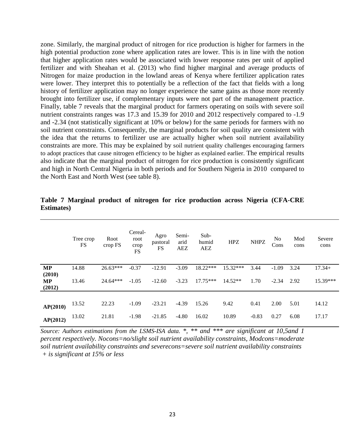zone. Similarly, the marginal product of nitrogen for rice production is higher for farmers in the high potential production zone where application rates are lower. This is in line with the notion that higher application rates would be associated with lower response rates per unit of applied fertilizer and with Sheahan et al. (2013) who find higher marginal and average products of Nitrogen for maize production in the lowland areas of Kenya where fertilizer application rates were lower. They interpret this to potentially be a reflection of the fact that fields with a long history of fertilizer application may no longer experience the same gains as those more recently brought into fertilizer use, if complementary inputs were not part of the management practice. Finally, table 7 reveals that the marginal product for farmers operating on soils with severe soil nutrient constraints ranges was 17.3 and 15.39 for 2010 and 2012 respectively compared to -1.9 and -2.34 (not statistically significant at 10% or below) for the same periods for farmers with no soil nutrient constraints. Consequently, the marginal products for soil quality are consistent with the idea that the returns to fertilizer use are actually higher when soil nutrient availability constraints are more. This may be explained by soil nutrient quality challenges encouraging farmers to adopt practices that cause nitrogen efficiency to be higher as explained earlier. The empirical results also indicate that the marginal product of nitrogen for rice production is consistently significant and high in North Central Nigeria in both periods and for Southern Nigeria in 2010 compared to the North East and North West (see table 8).

|                        | Tree crop<br>FS | Root<br>crop FS | Cereal-<br>root<br>crop<br><b>FS</b> | Agro<br>pastoral<br><b>FS</b> | Semi-<br>arid<br><b>AEZ</b> | $Sub-$<br>humid<br>AEZ | <b>HPZ</b> | <b>NHPZ</b> | No<br>Cons | Mod<br>cons | Severe<br>cons |
|------------------------|-----------------|-----------------|--------------------------------------|-------------------------------|-----------------------------|------------------------|------------|-------------|------------|-------------|----------------|
| MP                     | 14.88           | $26.63***$      | $-0.37$                              | $-12.91$                      | $-3.09$                     | $18.22***$             | 15.32***   | 3.44        | $-1.09$    | 3.24        | $17.34+$       |
| (2010)<br>MP<br>(2012) | 13.46           | $24.64***$      | $-1.05$                              | $-12.60$                      | $-3.23$                     | $17.75***$             | $14.52**$  | 1.70        | $-2.34$    | 2.92        | 15.39***       |
|                        |                 |                 |                                      |                               |                             |                        |            |             |            |             |                |
| AP(2010)               | 13.52           | 22.23           | $-1.09$                              | $-23.21$                      | $-4.39$                     | 15.26                  | 9.42       | 0.41        | 2.00       | 5.01        | 14.12          |
| AP(2012)               | 13.02           | 21.81           | $-1.98$                              | $-21.85$                      | $-4.80$                     | 16.02                  | 10.89      | $-0.83$     | 0.27       | 6.08        | 17.17          |

|                    |  |  |  | Table 7 Marginal product of nitrogen for rice production across Nigeria (CFA-CRE |  |  |
|--------------------|--|--|--|----------------------------------------------------------------------------------|--|--|
| <b>Estimates</b> ) |  |  |  |                                                                                  |  |  |

*Source: Authors estimations from the LSMS-ISA data. \*, \*\* and \*\*\* are significant at 10,5and 1 percent respectively. Nocons=no/slight soil nutrient availability constraints, Modcons=moderate soil nutrient availability constraints and severecons=severe soil nutrient availability constraints + is significant at 15% or less*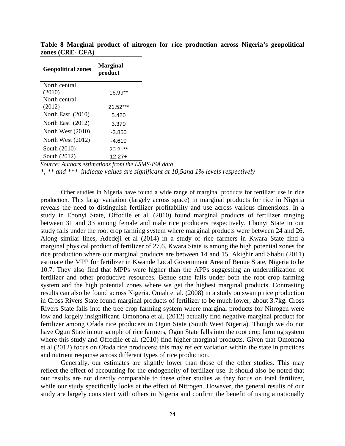| <b>Geopolitical zones</b> | <b>Marginal</b><br>product |
|---------------------------|----------------------------|
| North central             |                            |
| (2010)                    | 16.99**                    |
| North central             |                            |
| (2012)                    | $21.52***$                 |
| North East (2010)         | 5.420                      |
| North East (2012)         | 3.370                      |
| North West $(2010)$       | -3.850                     |
| North West $(2012)$       | $-4.610$                   |
| South (2010)              | $20.21**$                  |
| South (2012)              | $12.27+$                   |

**Table 8 Marginal product of nitrogen for rice production across Nigeria's geopolitical zones (CRE- CFA)**

*Source: Authors estimations from the LSMS-ISA data*

*\*, \*\* and \*\*\* indicate values are significant at 10,5and 1% levels respectively*

Other studies in Nigeria have found a wide range of marginal products for fertilizer use in rice production. This large variation (largely across space) in marginal products for rice in Nigeria reveals the need to distinguish fertilizer profitability and use across various dimensions. In a study in Ebonyi State, Offodile et al. (2010) found marginal products of fertilizer ranging between 31 and 33 among female and male rice producers respectively. Ebonyi State in our study falls under the root crop farming system where marginal products were between 24 and 26. Along similar lines, Adedeji et al (2014) in a study of rice farmers in Kwara State find a marginal physical product of fertilizer of 27.6. Kwara State is among the high potential zones for rice production where our marginal products are between 14 and 15. Akighir and Shabu (2011) estimate the MPP for fertilizer in Kwande Local Government Area of Benue State, Nigeria to be 10.7. They also find that MPPs were higher than the APPs suggesting an underutilization of fertilizer and other productive resources. Benue state falls under both the root crop farming system and the high potential zones where we get the highest marginal products. Contrasting results can also be found across Nigeria. Oniah et al. (2008) in a study on swamp rice production in Cross Rivers State found marginal products of fertilizer to be much lower; about 3.7kg. Cross Rivers State falls into the tree crop farming system where marginal products for Nitrogen were low and largely insignificant. Omonona et al. (2012) actually find negative marginal product for fertilizer among Ofada rice producers in Ogun State (South West Nigeria). Though we do not have Ogun State in our sample of rice farmers, Ogun State falls into the root crop farming system where this study and Offodile et al. (2010) find higher marginal products. Given that Omonona et al (2012) focus on Ofada rice producers; this may reflect variation within the state in practices and nutrient response across different types of rice production.

Generally, our estimates are slightly lower than those of the other studies. This may reflect the effect of accounting for the endogeneity of fertilizer use. It should also be noted that our results are not directly comparable to these other studies as they focus on total fertilizer, while our study specifically looks at the effect of Nitrogen. However, the general results of our study are largely consistent with others in Nigeria and confirm the benefit of using a nationally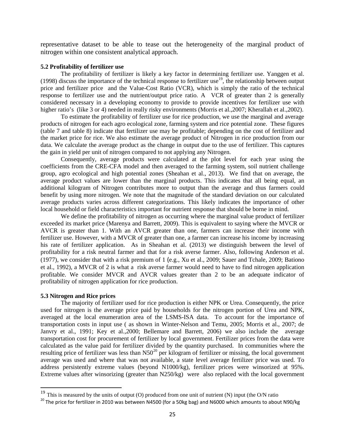representative dataset to be able to tease out the heterogeneity of the marginal product of nitrogen within one consistent analytical approach.

### **5.2 Profitability of fertilizer use**

The profitability of fertilizer is likely a key factor in determining fertilizer use. Yanggen et al. ([19](#page-24-0)98) discuss the importance of the technical response to fertilizer use<sup>19</sup>, the relationship between output price and fertilizer price and the Value-Cost Ratio (VCR), which is simply the ratio of the technical response to fertilizer use and the nutrient/output price ratio. A VCR of greater than 2 is generally considered necessary in a developing economy to provide to provide incentives for fertilizer use with higher ratio's (like 3 or 4) needed in really risky environments (Morris et al.,2007; Kherallah et al.,2002).

To estimate the profitability of fertilizer use for rice production, we use the marginal and average products of nitrogen for each agro ecological zone, farming system and rice potential zone. These figures (table 7 and table 8) indicate that fertilizer use may be profitable; depending on the cost of fertilizer and the market price for rice. We also estimate the average product of Nitrogen in rice production from our data. We calculate the average product as the change in output due to the use of fertilizer. This captures the gain in yield per unit of nitrogen compared to not applying any Nitrogen.

Consequently, average products were calculated at the plot level for each year using the coefficients from the CRE-CFA model and then averaged to the farming system, soil nutrient challenge group, agro ecological and high potential zones (Sheahan et al., 2013). We find that on average, the average product values are lower than the marginal products. This indicates that all being equal, an additional kilogram of Nitrogen contributes more to output than the average and thus farmers could benefit by using more nitrogen. We note that the magnitude of the standard deviation on our calculated average products varies across different categorizations. This likely indicates the importance of other local household or field characteristics important for nutrient response that should be borne in mind.

We define the profitability of nitrogen as occurring where the marginal value product of fertilizer exceeded its market price (Marenya and Barrett, 2009). This is equivalent to saying where the MVCR or AVCR is greater than 1. With an AVCR greater than one, farmers can increase their income with fertilizer use. However, with a MVCR of greater than one, a farmer can increase his income by increasing his rate of fertilizer application. As in Sheahan et al. (2013) we distinguish between the level of profitability for a risk neutral farmer and that for a risk averse farmer. Also, following Anderson et al. (1977), we consider that with a risk premium of 1 (e.g., Xu et al., 2009; Sauer and Tchale, 2009; Bationo et al., 1992), a MVCR of 2 is what a risk averse farmer would need to have to find nitrogen application profitable. We consider MVCR and AVCR values greater than 2 to be an adequate indicator of profitability of nitrogen application for rice production.

### **5.3 Nitrogen and Rice prices**

The majority of fertilizer used for rice production is either NPK or Urea. Consequently, the price used for nitrogen is the average price paid by households for the nitrogen portion of Urea and NPK, averaged at the local enumeration area of the LSMS-ISA data. To account for the importance of transportation costs in input use ( as shown in Winter-Nelson and Temu, 2005; Morris et al., 2007; de Janvry et al., 1991; Key et al.,2000; Bellemare and Barrett, 2006) we also include the average transportation cost for procurement of fertilizer by local government. Fertilizer prices from the data were calculated as the value paid for fertilizer divided by the quantity purchased. In communities where the resulting price of fertilizer was less than  $N50^{20}$  $N50^{20}$  $N50^{20}$  per kilogram of fertilizer or missing, the local government average was used and where that was not available, a state level average fertilizer price was used. To address persistently extreme values (beyond N1000/kg), fertilizer prices were winsorized at 95%. Extreme values after winsorizing (greater than N250/kg) were also replaced with the local government

<span id="page-24-0"></span><sup>&</sup>lt;sup>19</sup> This is measured by the units of output (O) produced from one unit of nutrient (N) input (the O/N ratio

<span id="page-24-1"></span> $^{20}$  The price for fertilizer in 2010 was between N4500 (for a 50kg bag) and N6000 which amounts to about N90/kg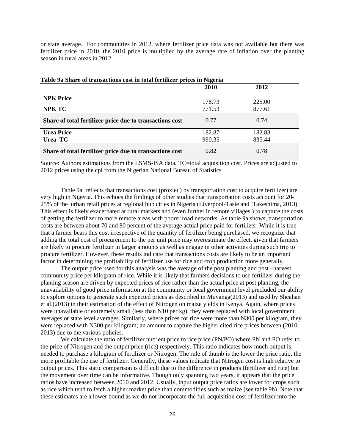or state average. For communities in 2012, where fertilizer price data was not available but there was fertilizer price in 2010, the 2010 price is multiplied by the average rate of inflation over the planting season in rural areas in 2012.

| Table 9a Share of transactions cost in total fertilizer prices in Nigeria |             |        |  |  |  |  |  |
|---------------------------------------------------------------------------|-------------|--------|--|--|--|--|--|
|                                                                           | <b>2010</b> | 2012   |  |  |  |  |  |
| <b>NPK Price</b>                                                          | 178.73      | 225.00 |  |  |  |  |  |
| NPK TC                                                                    | 771.53      | 877.61 |  |  |  |  |  |
| Share of total fertilizer price due to transactions cost                  | 0.77        | 0.74   |  |  |  |  |  |
| <b>Urea Price</b>                                                         | 182.87      | 182.83 |  |  |  |  |  |
| Urea TC                                                                   | 990.35      | 835.44 |  |  |  |  |  |
| Share of total fertilizer price due to transactions cost                  | 0.82        | 0.78   |  |  |  |  |  |

Source: Authors estimations from the LSMS-ISA data, TC=total acquisition cost. Prices are adjusted to 2012 prices using the cpi from the Nigerian National Bureau of Statistics

Table 9a reflects that transactions cost (proxied) by transportation cost to acquire fertilizer) are very high in Nigeria. This echoes the findings of other studies that transportation costs account for 20- 25% of the urban retail prices at regional hub cities in Nigeria (Liverpool-Tasie and Takeshima, 2013). This effect is likely exacerbated at rural markets and (even further in remote villages ) to capture the costs of getting the fertilizer to more remote areas with poorer road networks. As table 9a shows, transportation costs are between about 70 and 80 percent of the average actual price paid for fertilizer. While it is true that a farmer bears this cost irrespective of the quantity of fertilizer being purchased, we recognize that adding the total cost of procurement to the per unit price may overestimate the effect, given that farmers are likely to procure fertilizer in larger amounts as well as engage in other activities during such trip to procure fertilizer. However, these results indicate that transactions costs are likely to be an important factor in determining the profitability of fertilizer use for rice and crop production more generally.

The output price used for this analysis was the average of the post planting and post –harvest community price per kilogram of rice. While it is likely that farmers decisions to use fertilizer during the planting season are driven by expected prices of rice rather than the actual price at post planting, the unavailability of good price information at the community or local government level precluded our ability to explore options to generate such expected prices as described in Muyanga(2013) and used by Sheahan et al.(2013) in their estimation of the effect of Nitrogen on maize yields in Kenya. Again, where prices were unavailable or extremely small (less than N10 per kg), they were replaced with local government averages or state level averages. Similarly, where prices for rice were more than N300 per kilogram, they were replaced with N300 per kilogram; an amount to capture the higher cited rice prices between (2010- 2013) due to the various policies.

We calculate the ratio of fertilizer nutrient price to rice price (PN/PO) where PN and PO refer to the price of Nitrogen and the output price (rice) respectively. This ratio indicates how much output is needed to purchase a kilogram of fertilizer or Nitrogen. The rule of thumb is the lower the price ratio, the more profitable the use of fertilizer. Generally, these values indicate that Nitrogen cost is high relative to output prices. This static comparison is difficult due to the difference in products (fertilizer and rice) but the movement over time can be informative. Though only spanning two years, it appears that the price ratios have increased between 2010 and 2012. Usually, input output price ratios are lower for crops such as rice which tend to fetch a higher market price than commodities such as maize (see table 9b). Note that these estimates are a lower bound as we do not incorporate the full acquisition cost of fertilizer into the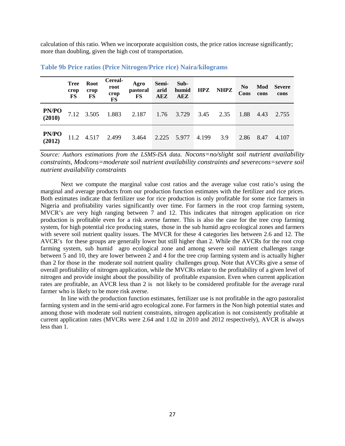calculation of this ratio. When we incorporate acquisition costs, the price ratios increase significantly; more than doubling, given the high cost of transportation.

|                        | <b>Tree</b><br>crop<br>FS | Root<br>crop<br>FS | Cereal-<br>root<br>crop<br>FS | Agro<br><i>pastoral</i><br>$\mathbf{FS}$ | Semi-<br>arid<br>AEZ | Sub-<br>humid<br>AEZ |       | HPZ NHPZ | N <sub>0</sub><br>Cons | Mod<br>cons | <b>Severe</b><br>cons |
|------------------------|---------------------------|--------------------|-------------------------------|------------------------------------------|----------------------|----------------------|-------|----------|------------------------|-------------|-----------------------|
| <b>PN/PO</b><br>(2010) |                           |                    |                               | 7.12 3.505 1.883 2.187 1.76 3.729        |                      |                      | 3.45  | 2.35     | 1.88                   | 4.43        | 2.755                 |
| <b>PN/PO</b><br>(2012) |                           |                    |                               | 11.2 4.517 2.499 3.464 2.225 5.977       |                      |                      | 4.199 | 3.9      |                        | 2.86 8.47   | 4.107                 |

**Table 9b Price ratios (Price Nitrogen/Price rice) Naira/kilograms** 

*Source: Authors estimations from the LSMS-ISA data. Nocons=no/slight soil nutrient availability constraints, Modcons=moderate soil nutrient availability constraints and severecons=severe soil nutrient availability constraints*

Next we compute the marginal value cost ratios and the average value cost ratio's using the marginal and average products from our production function estimates with the fertilizer and rice prices. Both estimates indicate that fertilizer use for rice production is only profitable for some rice farmers in Nigeria and profitability varies significantly over time. For farmers in the root crop farming system, MVCR's are very high ranging between 7 and 12. This indicates that nitrogen application on rice production is profitable even for a risk averse farmer. This is also the case for the tree crop farming system, for high potential rice producing states, those in the sub humid agro ecological zones and farmers with severe soil nutrient quality issues. The MVCR for these 4 categories lies between 2.6 and 12. The AVCR's for these groups are generally lower but still higher than 2. While the AVCRs for the root crop farming system, sub humid agro ecological zone and among severe soil nutrient challenges range between 5 and 10, they are lower between 2 and 4 for the tree crop farming system and is actually higher than 2 for those in the moderate soil nutrient quality challenges group. Note that AVCRs give a sense of overall profitability of nitrogen application, while the MVCRs relate to the profitability of a given level of nitrogen and provide insight about the possibility of profitable expansion. Even when current application rates are profitable, an AVCR less than 2 is not likely to be considered profitable for the average rural farmer who is likely to be more risk averse.

In line with the production function estimates, fertilizer use is not profitable in the agro pastoralist farming system and in the semi-arid agro ecological zone. For farmers in the Non high potential states and among those with moderate soil nutrient constraints, nitrogen application is not consistently profitable at current application rates (MVCRs were 2.64 and 1.02 in 2010 and 2012 respectively), AVCR is always less than 1.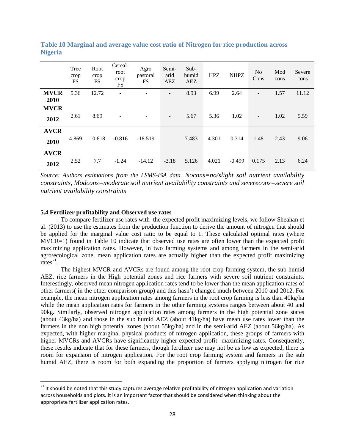|                     | Tree<br>crop<br>FS | Root<br>crop<br>FS | Cereal-<br>root<br>crop<br>$\mathop{\text{FS}}$ | Agro<br>pastoral<br>FS | Semi-<br>arid<br>AEZ     | Sub-<br>humid<br><b>AEZ</b> | <b>HPZ</b> | <b>NHPZ</b> | N <sub>o</sub><br>Cons | Mod<br>cons | Severe<br>cons |
|---------------------|--------------------|--------------------|-------------------------------------------------|------------------------|--------------------------|-----------------------------|------------|-------------|------------------------|-------------|----------------|
| <b>MVCR</b><br>2010 | 5.36               | 12.72              |                                                 |                        | -                        | 8.93                        | 6.99       | 2.64        |                        | 1.57        | 11.12          |
| <b>MVCR</b>         |                    |                    |                                                 |                        |                          |                             |            |             |                        |             |                |
| 2012                | 2.61               | 8.69               |                                                 |                        | $\overline{\phantom{a}}$ | 5.67                        | 5.36       | 1.02        | $\qquad \qquad -$      | 1.02        | 5.59           |
| <b>AVCR</b>         |                    |                    |                                                 |                        |                          |                             |            |             |                        |             |                |
| 2010                | 4.869              | 10.618             | $-0.816$                                        | $-18.519$              |                          | 7.483                       | 4.301      | 0.314       | 1.48                   | 2.43        | 9.06           |
| <b>AVCR</b>         |                    |                    |                                                 |                        |                          |                             |            |             |                        |             |                |
| 2012                | 2.52               | 7.7                | $-1.24$                                         | $-14.12$               | $-3.18$                  | 5.126                       | 4.021      | $-0.499$    | 0.175                  | 2.13        | 6.24           |

**Table 10 Marginal and average value cost ratio of Nitrogen for rice production across Nigeria**

*Source: Authors estimations from the LSMS-ISA data. Nocons=no/slight soil nutrient availability constraints, Modcons=moderate soil nutrient availability constraints and severecons=severe soil nutrient availability constraints*

### **5.4 Fertilizer profitability and Observed use rates**

To compare fertilizer use rates with the expected profit maximizing levels, we follow Sheahan et al. (2013) to use the estimates from the production function to derive the amount of nitrogen that should be applied for the marginal value cost ratio to be equal to 1. These calculated optimal rates (where MVCR=1) found in Table 10 indicate that observed use rates are often lower than the expected profit maximizing application rates. However, in two farming systems and among farmers in the semi-arid agro/ecological zone, mean application rates are actually higher than the expected profit maximizing rates $^{21}$  $^{21}$  $^{21}$ .

The highest MVCR and AVCRs are found among the root crop farming system, the sub humid AEZ, rice farmers in the High potential zones and rice farmers with severe soil nutrient constraints. Interestingly, observed mean nitrogen application rates tend to be lower than the mean application rates of other farmers( in the other comparison group) and this hasn't changed much between 2010 and 2012. For example, the mean nitrogen application rates among farmers in the root crop farming is less than 40kg/ha while the mean application rates for farmers in the other farming systems ranges between about 40 and 90kg. Similarly, observed nitrogen application rates among farmers in the high potential zone states (about 43kg/ha) and those in the sub humid AEZ (about 41kg/ha) have mean use rates lower than the farmers in the non high potential zones (about 55kg/ha) and in the semi-arid AEZ (about 56kg/ha). As expected, with higher marginal physical products of nitrogen application, these groups of farmers with higher MVCRs and AVCRs have significantly higher expected profit maximizing rates. Consequently, these results indicate that for these farmers, though fertilizer use may not be as low as expected, there is room for expansion of nitrogen application. For the root crop farming system and farmers in the sub humid AEZ, there is room for both expanding the proportion of farmers applying nitrogen for rice

<span id="page-27-0"></span><sup>&</sup>lt;sup>21</sup> It should be noted that this study captures average relative profitability of nitrogen application and variation across households and plots. It is an important factor that should be considered when thinking about the appropriate fertilizer application rates.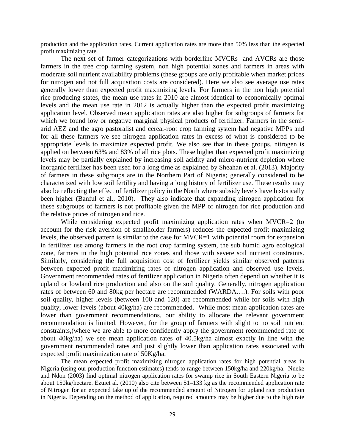production and the application rates. Current application rates are more than 50% less than the expected profit maximizing rate.

The next set of farmer categorizations with borderline MVCRs and AVCRs are those farmers in the tree crop farming system, non high potential zones and farmers in areas with moderate soil nutrient availability problems (these groups are only profitable when market prices for nitrogen and not full acquisition costs are considered). Here we also see average use rates generally lower than expected profit maximizing levels. For farmers in the non high potential rice producing states, the mean use rates in 2010 are almost identical to economically optimal levels and the mean use rate in 2012 is actually higher than the expected profit maximizing application level. Observed mean application rates are also higher for subgroups of farmers for which we found low or negative marginal physical products of fertilizer. Farmers in the semiarid AEZ and the agro pastoralist and cereal-root crop farming system had negative MPPs and for all these farmers we see nitrogen application rates in excess of what is considered to be appropriate levels to maximize expected profit. We also see that in these groups, nitrogen is applied on between 63% and 83% of all rice plots. These higher than expected profit maximizing levels may be partially explained by increasing soil acidity and micro-nutrient depletion where inorganic fertilizer has been used for a long time as explained by Sheahan et al. (2013). Majority of farmers in these subgroups are in the Northern Part of Nigeria; generally considered to be characterized with low soil fertility and having a long history of fertilizer use. These results may also be reflecting the effect of fertilizer policy in the North where subsidy levels have historically been higher (Banful et al., 2010). They also indicate that expanding nitrogen application for these subgroups of farmers is not profitable given the MPP of nitrogen for rice production and the relative prices of nitrogen and rice.

While considering expected profit maximizing application rates when MVCR=2 (to account for the risk aversion of smallholder farmers) reduces the expected profit maximizing levels, the observed pattern is similar to the case for MVCR=1 with potential room for expansion in fertilizer use among farmers in the root crop farming system, the sub humid agro ecological zone, farmers in the high potential rice zones and those with severe soil nutrient constraints. Similarly, considering the full acquisition cost of fertilizer yields similar observed patterns between expected profit maximizing rates of nitrogen application and observed use levels. Government recommended rates of fertilizer application in Nigeria often depend on whether it is upland or lowland rice production and also on the soil quality. Generally, nitrogen application rates of between 60 and 80kg per hectare are recommended (WARDA….). For soils with poor soil quality, higher levels (between 100 and 120) are recommended while for soils with high quality, lower levels (about 40kg/ha) are recommended. While most mean application rates are lower than government recommendations, our ability to allocate the relevant government recommendation is limited. However, for the group of farmers with slight to no soil nutrient constraints,(where we are able to more confidently apply the government recommended rate of about 40kg/ha) we see mean application rates of 40.5kg/ha almost exactly in line with the government recommended rates and just slightly lower than application rates associated with expected profit maximization rate of 50Kg/ha.

The mean expected profit maximizing nitrogen application rates for high potential areas in Nigeria (using our production function estimates) tends to range between 150kg/ha and 220kg/ha. Nneke and Ndon (2003) find optimal nitrogen application rates for swamp rice in South Eastern Nigeria to be about 150kg/hectare. Ezuiet al. (2010) also cite between 51–133 kg as the recommended application rate of Nitrogen for an expected take up of the recommended amount of Nitrogen for upland rice production in Nigeria. Depending on the method of application, required amounts may be higher due to the high rate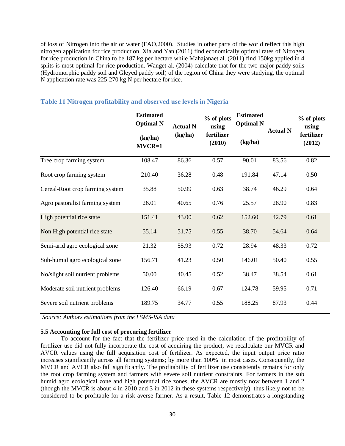of loss of Nitrogen into the air or water (FAO,2000). Studies in other parts of the world reflect this high nitrogen application for rice production. Xia and Yan (2011) find economically optimal rates of Nitrogen for rice production in China to be 187 kg per hectare while Mahajanaet al. (2011) find 150kg applied in 4 splits is most optimal for rice production. Wanget al. (2004) calculate that for the two major paddy soils (Hydromorphic paddy soil and Gleyed paddy soil) of the region of China they were studying, the optimal N application rate was 225-270 kg N per hectare for rice.

|                                  | <b>Estimated</b><br><b>Optimal N</b><br>(kg/ha)<br>$MVCR=1$ | <b>Actual N</b><br>(kg/ha) | % of plots<br>using<br>fertilizer<br>(2010) | <b>Estimated</b><br><b>Optimal N</b><br>(kg/ha) | <b>Actual N</b> | % of plots<br>using<br>fertilizer<br>(2012) |
|----------------------------------|-------------------------------------------------------------|----------------------------|---------------------------------------------|-------------------------------------------------|-----------------|---------------------------------------------|
| Tree crop farming system         | 108.47                                                      | 86.36                      | 0.57                                        | 90.01                                           | 83.56           | 0.82                                        |
| Root crop farming system         | 210.40                                                      | 36.28                      | 0.48                                        | 191.84                                          | 47.14           | 0.50                                        |
| Cereal-Root crop farming system  | 35.88                                                       | 50.99                      | 0.63                                        | 38.74                                           | 46.29           | 0.64                                        |
| Agro pastoralist farming system  | 26.01                                                       | 40.65                      | 0.76                                        | 25.57                                           | 28.90           | 0.83                                        |
| High potential rice state        | 151.41                                                      | 43.00                      | 0.62                                        | 152.60                                          | 42.79           | 0.61                                        |
| Non High potential rice state    | 55.14                                                       | 51.75                      | 0.55                                        | 38.70                                           | 54.64           | 0.64                                        |
| Semi-arid agro ecological zone   | 21.32                                                       | 55.93                      | 0.72                                        | 28.94                                           | 48.33           | 0.72                                        |
| Sub-humid agro ecological zone   | 156.71                                                      | 41.23                      | 0.50                                        | 146.01                                          | 50.40           | 0.55                                        |
| No/slight soil nutrient problems | 50.00                                                       | 40.45                      | 0.52                                        | 38.47                                           | 38.54           | 0.61                                        |
| Moderate soil nutrient problems  | 126.40                                                      | 66.19                      | 0.67                                        | 124.78                                          | 59.95           | 0.71                                        |
| Severe soil nutrient problems    | 189.75                                                      | 34.77                      | 0.55                                        | 188.25                                          | 87.93           | 0.44                                        |

## **Table 11 Nitrogen profitability and observed use levels in Nigeria**

*Source: Authors estimations from the LSMS-ISA data*

# **5.5 Accounting for full cost of procuring fertilizer**

To account for the fact that the fertilizer price used in the calculation of the profitability of fertilizer use did not fully incorporate the cost of acquiring the product, we recalculate our MVCR and AVCR values using the full acquisition cost of fertilizer. As expected, the input output price ratio increases significantly across all farming systems; by more than 100% in most cases. Consequently, the MVCR and AVCR also fall significantly. The profitability of fertilizer use consistently remains for only the root crop farming system and farmers with severe soil nutrient constraints. For farmers in the sub humid agro ecological zone and high potential rice zones, the AVCR are mostly now between 1 and 2 (though the MVCR is about 4 in 2010 and 3 in 2012 in these systems respectively), thus likely not to be considered to be profitable for a risk averse farmer. As a result, Table 12 demonstrates a longstanding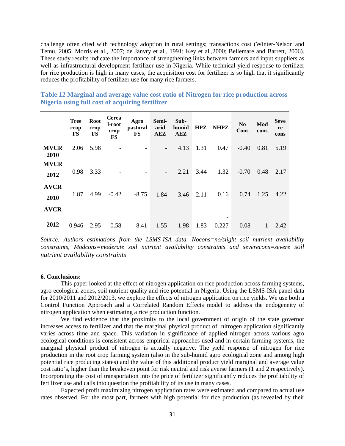challenge often cited with technology adoption in rural settings; transactions cost (Winter-Nelson and Temu, 2005; Morris et al., 2007; de Janvry et al., 1991; Key et al.,2000; Bellemare and Barrett, 2006). These study results indicate the importance of strengthening links between farmers and input suppliers as well as infrastructural development fertilizer use in Nigeria. While technical yield response to fertilizer for rice production is high in many cases, the acquisition cost for fertilizer is so high that it significantly reduces the profitability of fertilizer use for many rice farmers.

|                     | <b>Tree</b><br>crop<br>FS | Root<br>crop<br>FS | Cerea<br>l-root<br>crop<br><b>FS</b> | Agro<br>pastoral<br><b>FS</b> | Semi-<br>arid<br>AEZ     | Sub-<br>humid<br>AEZ | <b>HPZ</b> | <b>NHPZ</b> | N <sub>0</sub><br>Cons | Mod<br>cons | <b>Seve</b><br>re<br>cons |
|---------------------|---------------------------|--------------------|--------------------------------------|-------------------------------|--------------------------|----------------------|------------|-------------|------------------------|-------------|---------------------------|
| <b>MVCR</b><br>2010 | 2.06                      | 5.98               |                                      |                               |                          | 4.13                 | 1.31       | 0.47        | $-0.40$                | 0.81        | 5.19                      |
| <b>MVCR</b><br>2012 | 0.98                      | 3.33               |                                      |                               | $\overline{\phantom{a}}$ | 2.21                 | 3.44       | 1.32        | $-0.70$                | 0.48        | 2.17                      |
| <b>AVCR</b><br>2010 | 1.87                      | 4.99               | $-0.42$                              | $-8.75$                       | $-1.84$                  | 3.46                 | 2.11       | 0.16        | 0.74                   | 1.25        | 4.22                      |
| <b>AVCR</b><br>2012 | 0.946                     | 2.95               | $-0.58$                              | $-8.41$                       | $-1.55$                  | 1.98                 | 1.83       | -<br>0.227  | 0.08                   | 1           | 2.42                      |

**Table 12 Marginal and average value cost ratio of Nitrogen for rice production across Nigeria using full cost of acquiring fertilizer**

*Source: Authors estimations from the LSMS-ISA data. Nocons=no/slight soil nutrient availability constraints, Modcons=moderate soil nutrient availability constraints and severecons=severe soil nutrient availability constraints*

### **6. Conclusions:**

This paper looked at the effect of nitrogen application on rice production across farming systems, agro ecological zones, soil nutrient quality and rice potential in Nigeria. Using the LSMS-ISA panel data for 2010/2011 and 2012/2013, we explore the effects of nitrogen application on rice yields. We use both a Control Function Approach and a Correlated Random Effects model to address the endogeneity of nitrogen application when estimating a rice production function.

We find evidence that the proximity to the local government of origin of the state governor increases access to fertilizer and that the marginal physical product of nitrogen application significantly varies across time and space. This variation in significance of applied nitrogen across various agro ecological conditions is consistent across empirical approaches used and in certain farming systems, the marginal physical product of nitrogen is actually negative. The yield response of nitrogen for rice production in the root crop farming system (also in the sub-humid agro ecological zone and among high potential rice producing states) and the value of this additional product yield marginal and average value cost ratio's, higher than the breakeven point for risk neutral and risk averse farmers (1 and 2 respectively). Incorporating the cost of transportation into the price of fertilizer significantly reduces the profitability of fertilizer use and calls into question the profitability of its use in many cases.

Expected profit maximizing nitrogen application rates were estimated and compared to actual use rates observed. For the most part, farmers with high potential for rice production (as revealed by their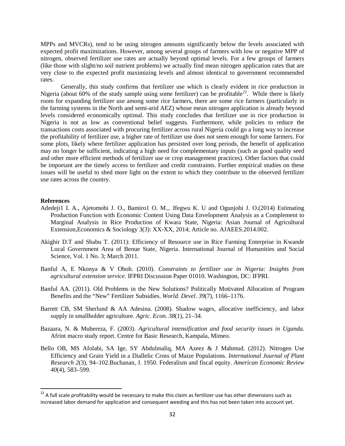MPPs and MVCRs), tend to be using nitrogen amounts significantly below the levels associated with expected profit maximizations. However, among several groups of farmers with low or negative MPP of nitrogen, observed fertilizer use rates are actually beyond optimal levels. For a few groups of farmers (like those with slight/no soil nutrient problems) we actually find mean nitrogen application rates that are very close to the expected profit maximizing levels and almost identical to government recommended rates.

Generally, this study confirms that fertilizer use which is clearly evident in rice production in Nigeria (about 60% of the study sample using some fertilizer) can be profitable<sup>[22](#page-31-0)</sup>. While there is likely room for expanding fertilizer use among some rice farmers, there are some rice farmers (particularly in the farming systems in the North and semi-arid AEZ) whose mean nitrogen application is already beyond levels considered economically optimal. This study concludes that fertilizer use in rice production in Nigeria is not as low as conventional belief suggests. Furthermore, while policies to reduce the transactions costs associated with procuring fertilizer across rural Nigeria could go a long way to increase the profitability of fertilizer use, a higher rate of fertilizer use does not seem enough for some farmers. For some plots, likely where fertilizer application has persisted over long periods, the benefit of application may no longer be sufficient, indicating a high need for complementary inputs (such as good quality seed and other more efficient methods of fertilizer use or crop management practices). Other factors that could be important are the timely access to fertilizer and credit constraints. Further empirical studies on these issues will be useful to shed more light on the extent to which they contribute to the observed fertilizer use rates across the country.

### **References**

- Adedeji1 I. A., Ajetomobi J. O., Bamiro1 O. M.,. Ifegwu K. U and Ogunjobi J. O.(2014) Estimating Production Function with Economic Content Using Data Envelopment Analysis as a Complement to Marginal Analysis in Rice Production of Kwara State, Nigeria: Asian Journal of Agricultural Extension,Economics & Sociology 3(3): XX-XX, 2014; Article no. AJAEES.2014.002.
- Akighir D.T and Shabu T. (2011): Efficiency of Resource use in Rice Farming Enterprise in Kwande Local Government Area of Benue State, Nigeria. International Journal of Humanities and Social Science, Vol. 1 No. 3; March 2011.
- Banful A, E Nkonya & V Oboh. (2010). *Constraints to fertilizer use in Nigeria: Insights from agricultural extension service*. IFPRI Discussion Paper 01010. Washington, DC: IFPRI.
- Banful AA. (2011). Old Problems in the New Solutions? Politically Motivated Allocation of Program Benefits and the "New" Fertilizer Subsidies. *World. Devel. 39*(7), 1166–1176.
- Barrett CB, SM Sherlund & AA Adesina. (2008). Shadow wages, allocative inefficiency, and labor supply in smallholder agriculture. *Agric. Econ. 38*(1), 21–34.
- Bazaara, N. & Muhereza, F. (2003). *Agricultural intensification and food security issues in Uganda.* Afrint macro study report. Centre for Basic Research, Kampala, Mimeo.
- Bello OB, MS Afolabi, SA Ige, SY Abdulmaliq, MA Azeez & J Mahmud. (2012). Nitrogen Use Efficiency and Grain Yield in a Diallelic Cross of Maize Populations. *International Journal of Plant Research 2*(3), 94–102.Buchanan, J. 1950. Federalism and fiscal equity. *American Economic Review 40*(4), 583–599.

<span id="page-31-0"></span> $22$  A full scale profitability would be necessary to make this claim as fertilizer use has other dimensions such as increased labor demand for application and consequent weeding and this has not been taken into account yet.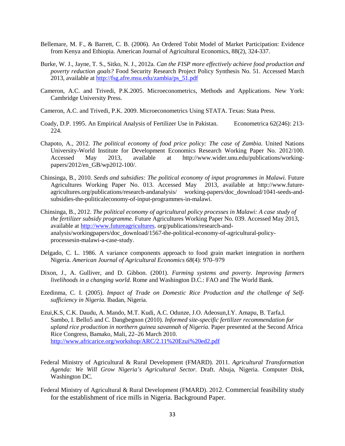- Bellemare, M. F., & Barrett, C. B. (2006). An Ordered Tobit Model of Market Participation: Evidence from Kenya and Ethiopia. American Journal of Agricultural Economics, 88(2), 324-337.
- Burke, W. J., Jayne, T. S., Sitko, N. J., 2012a. *Can the FISP more effectively achieve food production and poverty reduction goals?* Food Security Research Project Policy Synthesis No. 51. Accessed March 2013, available at [http://fsg.afre.msu.edu/zambia/ps\\_51.pdf](http://fsg.afre.msu.edu/zambia/ps_51.pdf)
- Cameron, A.C. and Trivedi, P.K.2005. Microeconometrics, Methods and Applications. New York: Cambridge University Press.
- Cameron, A.C. and Trivedi, P.K. 2009. Microeconometrics Using STATA. Texas: Stata Press.
- Coady, D.P. 1995. An Empirical Analysis of Fertilizer Use in Pakistan. Econometrica 62(246): 213- 224.
- Chapoto, A., 2012. *The political economy of food price policy: The case of Zambia.* United Nations University-World Institute for Development Economics Research Working Paper No. 2012/100. Accessed May 2013, available at http://www.wider.unu.edu/publications/workingpapers/2012/en\_GB/wp2012-100/.
- Chinsinga, B., 2010. *Seeds and subsidies: The political economy of input programmes in Malawi.* Future Agricultures Working Paper No. 013. Accessed May 2013, available at http://www.futureagricultures.org/publications/research-andanalysis/ working-papers/doc\_download/1041-seeds-andsubsidies-the-politicaleconomy-of-input-programmes-in-malawi.
- Chinsinga, B., 2012. *The political economy of agricultural policy processes in Malawi: A case study of the fertilizer subsidy programme.* Future Agricultures Working Paper No. 039. Accessed May 2013, available at [http://www.futureagricultures.](http://www.futureagricultures/) org/publications/research-andanalysis/workingpapers/doc\_download/1567-the-political-economy-of-agricultural-policyprocessesin-malawi-a-case-study.
- Delgado, C. L. 1986. A variance components approach to food grain market integration in northern Nigeria. *American Journal of Agricultural Economics 68*(4): 970–979
- Dixon, J., A. Gulliver, and D. Gibbon. (2001). *Farming systems and poverty. Improving farmers livelihoods in a changing world.* Rome and Washington D.C.: FAO and The World Bank.
- Ezedinma, C. I. (2005). *Impact of Trade on Domestic Rice Production and the challenge of Selfsufficiency in Nigeria.* Ibadan, Nigeria.
- Ezui,K.S, C.K. Daudu, A. Mando, M.T. Kudi, A.C. Odunze, J.O. Adeosun,I.Y. Amapu, B. Tarfa,I. Sambo, I. Bello5 and C. Dangbegnon (2010). *Informed site-specific fertilizer recommendation for upland rice production in northern guinea savannah of Nigeria.* Paper presented at the Second Africa Rice Congress, Bamako, Mali, 22–26 March 2010. <http://www.africarice.org/workshop/ARC/2.11%20Ezui%20ed2.pdf>
- Federal Ministry of Agricultural & Rural Development (FMARD). 2011. *Agricultural Transformation Agenda: We Will Grow Nigeria's Agricultural Sector.* Draft. Abuja, Nigeria. Computer Disk, Washington DC.
- Federal Ministry of Agricultural & Rural Development (FMARD). 2012. Commercial feasibility study for the establishment of rice mills in Nigeria. Background Paper.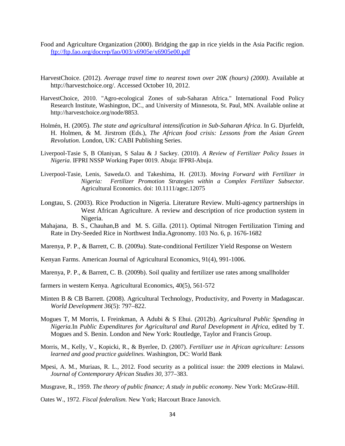- Food and Agriculture Organization (2000). Bridging the gap in rice yields in the Asia Pacific region. <ftp://ftp.fao.org/docrep/fao/003/x6905e/x6905e00.pdf>
- HarvestChoice. (2012). *Average travel time to nearest town over 20K (hours) (2000)*. Available at http://harvestchoice.org/. Accessed October 10, 2012.
- HarvestChoice, 2010. "Agro-ecological Zones of sub-Saharan Africa." International Food Policy Research Institute, Washington, DC., and University of Minnesota, St. Paul, MN. Available online at http://harvestchoice.org/node/8853.
- Holmén, H. (2005). *The state and agricultural intensification in Sub-Saharan Africa*. In G. Djurfeldt, H. Holmen, & M. Jirstrom (Eds.), *The African food crisis: Lessons from the Asian Green Revolution.* London, UK: CABI Publishing Series.
- Liverpool-Tasie S, B Olaniyan, S Salau & J Sackey. (2010). *A Review of Fertilizer Policy Issues in Nigeria*. IFPRI NSSP Working Paper 0019. Abuja: IFPRI-Abuja.
- Liverpool-Tasie, Lenis, Saweda.O. and Takeshima, H. (2013). *Moving Forward with Fertilizer in Nigeria: Fertilizer Promotion Strategies within a Complex Fertilizer Subsector*. Agricultural Economics. doi: 10.1111/agec.12075
- Longtau, S. (2003). Rice Production in Nigeria. Literature Review. Multi-agency partnerships in West African Agriculture. A review and description of rice production system in Nigeria.
- Mahajana, B. S., Chauhan,B and M. S. Gilla. (2011). Optimal Nitrogen Fertilization Timing and Rate in Dry-Seeded Rice in Northwest India.Agronomy. 103 No. 6, p. 1676-1682
- Marenya, P. P., & Barrett, C. B. (2009a). State-conditional Fertilizer Yield Response on Western
- Kenyan Farms. American Journal of Agricultural Economics, 91(4), 991-1006.
- Marenya, P. P., & Barrett, C. B. (2009b). Soil quality and fertilizer use rates among smallholder
- farmers in western Kenya. Agricultural Economics, 40(5), 561-572
- Minten B & CB Barrett. (2008). Agricultural Technology, Productivity, and Poverty in Madagascar. *World Development 36*(5): 797–822.
- Mogues T, M Morris, L Freinkman, A Adubi & S Ehui. (2012b). *Agricultural Public Spending in Nigeria.*In *Public Expenditures for Agricultural and Rural Development in Africa*, edited by T. Mogues and S. Benin. London and New York: Routledge, Taylor and Francis Group.
- Morris, M., Kelly, V., Kopicki, R., & Byerlee, D. (2007). *Fertilizer use in African agriculture: Lessons learned and good practice guidelines.* Washington, DC: World Bank
- Mpesi, A. M., Muriaas, R. L., 2012. Food security as a political issue: the 2009 elections in Malawi. *Journal of Contemporary African Studies 30*, 377–383.

Musgrave, R., 1959. *The theory of public finance; A study in public economy*. New York: McGraw-Hill.

Oates W., 1972. *Fiscal federalism.* New York; Harcourt Brace Janovich.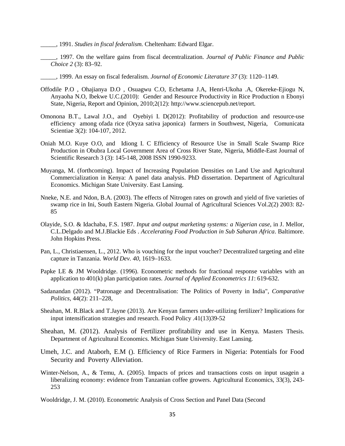- \_\_\_\_\_, 1991. *Studies in fiscal federalism.* Cheltenham: Edward Elgar.
- \_\_\_\_\_, 1997. On the welfare gains from fiscal decentralization. *Journal of Public Finance and Public Choice 2* (3): 83–92.
- \_\_\_\_\_, 1999. An essay on fiscal federalism. *Journal of Economic Literature 37* (3): 1120–1149.
- Offodile P.O , Ohajianya D.O , Osuagwu C.O, Echetama J.A, Henri-Ukoha .A, Okereke-Ejiogu N, Anyaoha N.O, Ibekwe U.C.(2010): Gender and Resource Productivity in Rice Production n Ebonyi State, Nigeria, Report and Opinion, 2010;2(12): http://www.sciencepub.net/report.
- Omonona B.T., Lawal J.O., and Oyebiyi I. D(2012): Profitability of production and resource-use efficiency among ofada rice (Oryza sativa japonica) farmers in Southwest, Nigeria, Comunicata Scientiae 3(2): 104-107, 2012.
- Oniah M.O. Kuye O.O, and Idiong I. C Efficiency of Resource Use in Small Scale Swamp Rice Production in Obubra Local Government Area of Cross River State, Nigeria, Middle-East Journal of Scientific Research 3 (3): 145-148, 2008 ISSN 1990-9233.
- Muyanga, M. (forthcoming). Impact of Increasing Population Densities on Land Use and Agricultural Commercialization in Kenya: A panel data analysis. PhD dissertation. Department of Agricultural Economics. Michigan State University. East Lansing.
- Nneke, N.E. and Ndon, B.A. (2003). The effects of Nitrogen rates on growth and yield of five varieties of swamp rice in Ini, South Eastern Nigeria. Global Journal of Agricultural Sciences Vol.2(2) 2003: 82- 85
- Olayide, S.O. & Idachaba, F.S. 1987. *Input and output marketing systems: a Nigerian case*, in J. Mellor, C.L.Delgado and M.J.Blackie Eds . *Accelerating Food Production in Sub Saharan Africa*. Baltimore. John Hopkins Press.
- Pan, L., Christiaensen, L., 2012. Who is vouching for the input voucher? Decentralized targeting and elite capture in Tanzania. *World Dev. 40*, 1619–1633.
- Papke LE & JM Wooldridge. (1996). Econometric methods for fractional response variables with an application to 401(k) plan participation rates. *Journal of Applied Econometrics 11*: 619-632.
- Sadanandan (2012). "Patronage and Decentralisation: The Politics of Poverty in India", *Comparative Politics*, 44(2): 211–228,
- Sheahan, M. R.Black and T.Jayne (2013). Are Kenyan farmers under-utilizing fertilizer? Implications for input intensification strategies and research. Food Policy .41(13)39-52
- Sheahan, M. (2012). Analysis of Fertilizer profitability and use in Kenya. Masters Thesis. Department of Agricultural Economics. Michigan State University. East Lansing.
- Umeh, J.C. and Ataborh, E.M (). Efficiency of Rice Farmers in Nigeria: Potentials for Food Security and Poverty Alleviation.
- Winter-Nelson, A., & Temu, A. (2005). Impacts of prices and transactions costs on input usagein a liberalizing economy: evidence from Tanzanian coffee growers. Agricultural Economics, 33(3), 243- 253
- Wooldridge, J. M. (2010). Econometric Analysis of Cross Section and Panel Data (Second